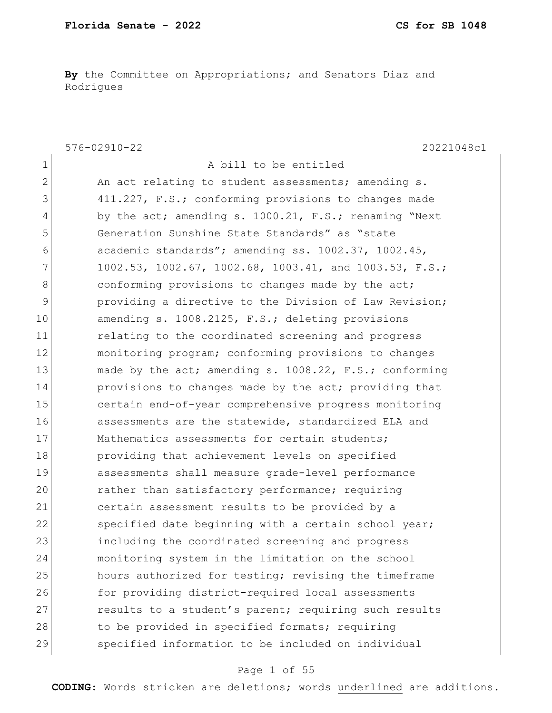**By** the Committee on Appropriations; and Senators Diaz and Rodrigues

576-02910-22 20221048c1 1 A bill to be entitled 2 An act relating to student assessments; amending s. 3 411.227, F.S.; conforming provisions to changes made 4 by the act; amending s. 1000.21, F.S.; renaming "Next" 5 Generation Sunshine State Standards" as "state 6 academic standards"; amending ss. 1002.37, 1002.45, 7 1002.53, 1002.67, 1002.68, 1003.41, and 1003.53, F.S.; 8 conforming provisions to changes made by the act; 9 providing a directive to the Division of Law Revision; 10 amending s. 1008.2125, F.S.; deleting provisions 11 11 relating to the coordinated screening and progress 12 monitoring program; conforming provisions to changes 13 made by the act; amending s. 1008.22, F.S.; conforming 14 provisions to changes made by the act; providing that 15 certain end-of-year comprehensive progress monitoring 16 assessments are the statewide, standardized ELA and 17 Mathematics assessments for certain students; 18 providing that achievement levels on specified 19 assessments shall measure grade-level performance 20 rather than satisfactory performance; requiring 21 certain assessment results to be provided by a 22 specified date beginning with a certain school year; 23 including the coordinated screening and progress 24 monitoring system in the limitation on the school 25 hours authorized for testing; revising the timeframe 26 for providing district-required local assessments 27 results to a student's parent; requiring such results 28 to be provided in specified formats; requiring 29 specified information to be included on individual

### Page 1 of 55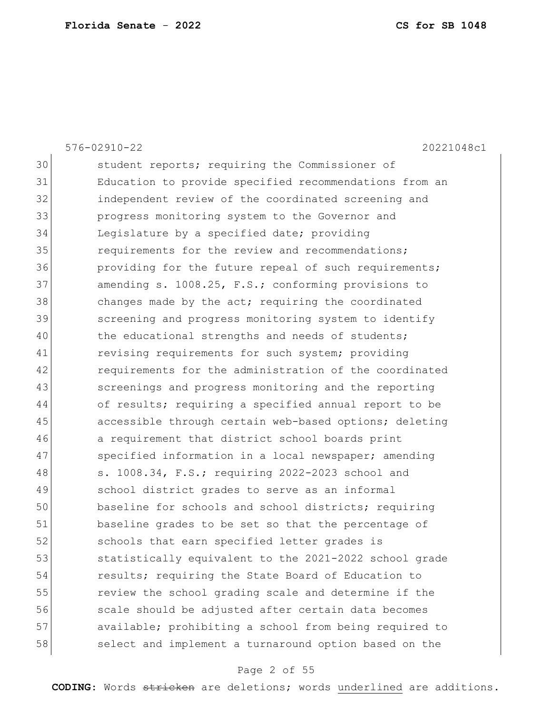|    | $576 - 02910 - 22$<br>20221048c1                       |
|----|--------------------------------------------------------|
| 30 | student reports; requiring the Commissioner of         |
| 31 | Education to provide specified recommendations from an |
| 32 | independent review of the coordinated screening and    |
| 33 | progress monitoring system to the Governor and         |
| 34 | Legislature by a specified date; providing             |
| 35 | requirements for the review and recommendations;       |
| 36 | providing for the future repeal of such requirements;  |
| 37 | amending s. 1008.25, F.S.; conforming provisions to    |
| 38 | changes made by the act; requiring the coordinated     |
| 39 | screening and progress monitoring system to identify   |
| 40 | the educational strengths and needs of students;       |
| 41 | revising requirements for such system; providing       |
| 42 | requirements for the administration of the coordinated |
| 43 | screenings and progress monitoring and the reporting   |
| 44 | of results; requiring a specified annual report to be  |
| 45 | accessible through certain web-based options; deleting |
| 46 | a requirement that district school boards print        |
| 47 | specified information in a local newspaper; amending   |
| 48 | s. 1008.34, F.S.; requiring 2022-2023 school and       |
| 49 | school district grades to serve as an informal         |
| 50 | baseline for schools and school districts; requiring   |
| 51 | baseline grades to be set so that the percentage of    |
| 52 | schools that earn specified letter grades is           |
| 53 | statistically equivalent to the 2021-2022 school grade |
| 54 | results; requiring the State Board of Education to     |
| 55 | review the school grading scale and determine if the   |
| 56 | scale should be adjusted after certain data becomes    |
| 57 | available; prohibiting a school from being required to |
| 58 | select and implement a turnaround option based on the  |
|    |                                                        |

## Page 2 of 55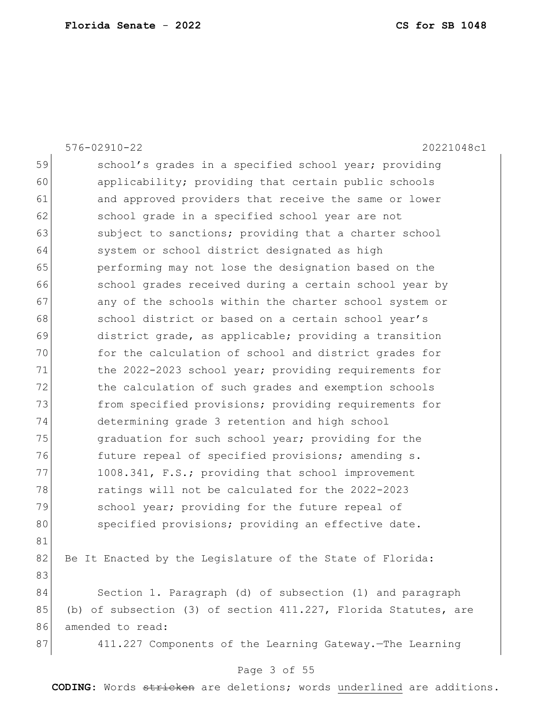|    | $576 - 02910 - 22$<br>20221048c1                                   |
|----|--------------------------------------------------------------------|
| 59 | school's grades in a specified school year; providing              |
| 60 | applicability; providing that certain public schools               |
| 61 | and approved providers that receive the same or lower              |
| 62 | school grade in a specified school year are not                    |
| 63 | subject to sanctions; providing that a charter school              |
| 64 | system or school district designated as high                       |
| 65 | performing may not lose the designation based on the               |
| 66 | school grades received during a certain school year by             |
| 67 | any of the schools within the charter school system or             |
| 68 | school district or based on a certain school year's                |
| 69 | district grade, as applicable; providing a transition              |
| 70 | for the calculation of school and district grades for              |
| 71 | the 2022-2023 school year; providing requirements for              |
| 72 | the calculation of such grades and exemption schools               |
| 73 | from specified provisions; providing requirements for              |
| 74 | determining grade 3 retention and high school                      |
| 75 | graduation for such school year; providing for the                 |
| 76 | future repeal of specified provisions; amending s.                 |
| 77 | 1008.341, F.S.; providing that school improvement                  |
| 78 | ratings will not be calculated for the 2022-2023                   |
| 79 | school year; providing for the future repeal of                    |
| 80 | specified provisions; providing an effective date.                 |
| 81 |                                                                    |
| 82 | Be It Enacted by the Legislature of the State of Florida:          |
| 83 |                                                                    |
| 84 | Section 1. Paragraph (d) of subsection (1) and paragraph           |
| 85 | (b) of subsection (3) of section $411.227$ , Florida Statutes, are |
| 86 | amended to read:                                                   |
| 87 | 411.227 Components of the Learning Gateway. - The Learning         |
|    |                                                                    |

### Page 3 of 55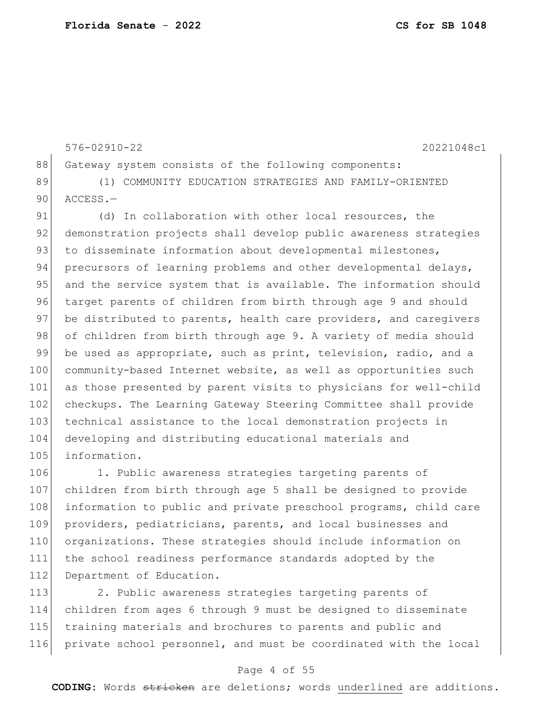105 information.

576-02910-22 20221048c1 88 Gateway system consists of the following components: 89 (1) COMMUNITY EDUCATION STRATEGIES AND FAMILY-ORIENTED 90 ACCESS.-91 (d) In collaboration with other local resources, the 92 demonstration projects shall develop public awareness strategies 93 to disseminate information about developmental milestones, 94 precursors of learning problems and other developmental delays, 95 and the service system that is available. The information should 96 target parents of children from birth through age 9 and should 97 be distributed to parents, health care providers, and caregivers 98 of children from birth through age 9. A variety of media should 99 be used as appropriate, such as print, television, radio, and a 100 community-based Internet website, as well as opportunities such 101 as those presented by parent visits to physicians for well-child 102 checkups. The Learning Gateway Steering Committee shall provide 103 technical assistance to the local demonstration projects in 104 developing and distributing educational materials and

106 1. Public awareness strategies targeting parents of 107 children from birth through age 5 shall be designed to provide 108 information to public and private preschool programs, child care 109 providers, pediatricians, parents, and local businesses and 110 organizations. These strategies should include information on 111 the school readiness performance standards adopted by the 112 Department of Education.

113 2. Public awareness strategies targeting parents of children from ages 6 through 9 must be designed to disseminate training materials and brochures to parents and public and private school personnel, and must be coordinated with the local

#### Page 4 of 55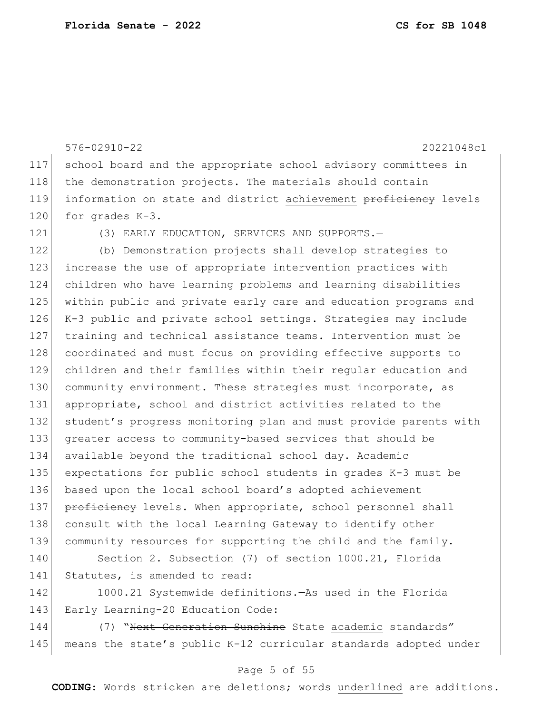576-02910-22 20221048c1 117 school board and the appropriate school advisory committees in 118 the demonstration projects. The materials should contain 119 information on state and district achievement proficiency levels 120 for grades K-3. 121 (3) EARLY EDUCATION, SERVICES AND SUPPORTS. 122 (b) Demonstration projects shall develop strategies to 123 increase the use of appropriate intervention practices with 124 children who have learning problems and learning disabilities 125 within public and private early care and education programs and 126 K-3 public and private school settings. Strategies may include 127 training and technical assistance teams. Intervention must be 128 coordinated and must focus on providing effective supports to 129 children and their families within their regular education and 130 community environment. These strategies must incorporate, as 131 appropriate, school and district activities related to the 132 student's progress monitoring plan and must provide parents with 133 greater access to community-based services that should be 134 available beyond the traditional school day. Academic 135 expectations for public school students in grades K-3 must be 136 based upon the local school board's adopted achievement 137 proficiency levels. When appropriate, school personnel shall 138 consult with the local Learning Gateway to identify other 139 community resources for supporting the child and the family. 140 Section 2. Subsection (7) of section 1000.21, Florida 141 Statutes, is amended to read:

142 1000.21 Systemwide definitions.—As used in the Florida 143 Early Learning-20 Education Code:

144 (7) Wext Generation Sunshine State academic standards" 145 means the state's public K-12 curricular standards adopted under

### Page 5 of 55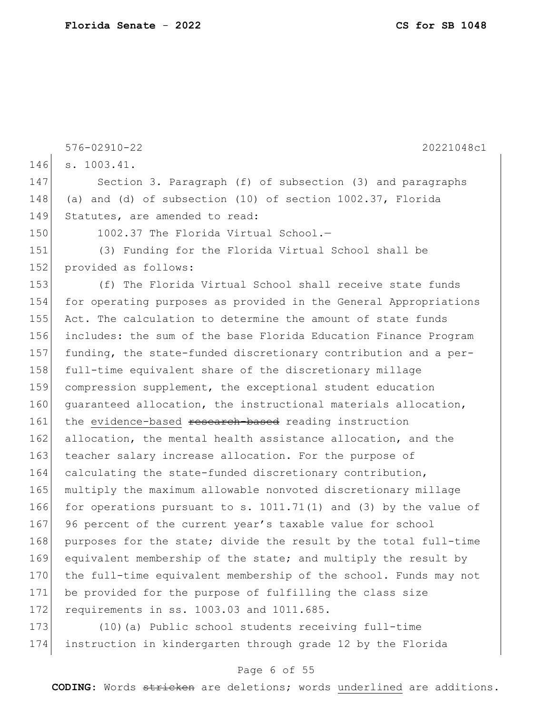|     | $576 - 02910 - 22$<br>20221048c1                                   |
|-----|--------------------------------------------------------------------|
| 146 | s. 1003.41.                                                        |
| 147 | Section 3. Paragraph (f) of subsection (3) and paragraphs          |
| 148 | (a) and (d) of subsection $(10)$ of section $1002.37$ , Florida    |
| 149 | Statutes, are amended to read:                                     |
| 150 | 1002.37 The Florida Virtual School.-                               |
| 151 | (3) Funding for the Florida Virtual School shall be                |
| 152 | provided as follows:                                               |
| 153 | (f) The Florida Virtual School shall receive state funds           |
| 154 | for operating purposes as provided in the General Appropriations   |
| 155 | Act. The calculation to determine the amount of state funds        |
| 156 | includes: the sum of the base Florida Education Finance Program    |
| 157 | funding, the state-funded discretionary contribution and a per-    |
| 158 | full-time equivalent share of the discretionary millage            |
| 159 | compression supplement, the exceptional student education          |
| 160 | quaranteed allocation, the instructional materials allocation,     |
| 161 | the evidence-based research-based reading instruction              |
| 162 | allocation, the mental health assistance allocation, and the       |
| 163 | teacher salary increase allocation. For the purpose of             |
| 164 | calculating the state-funded discretionary contribution,           |
| 165 | multiply the maximum allowable nonvoted discretionary millage      |
| 166 | for operations pursuant to s. $1011.71(1)$ and (3) by the value of |
| 167 | 96 percent of the current year's taxable value for school          |
| 168 | purposes for the state; divide the result by the total full-time   |
| 169 | equivalent membership of the state; and multiply the result by     |
| 170 | the full-time equivalent membership of the school. Funds may not   |
| 171 | be provided for the purpose of fulfilling the class size           |
| 172 | requirements in ss. 1003.03 and 1011.685.                          |
| 173 | (10) (a) Public school students receiving full-time                |

# 174 instruction in kindergarten through grade 12 by the Florida

### Page 6 of 55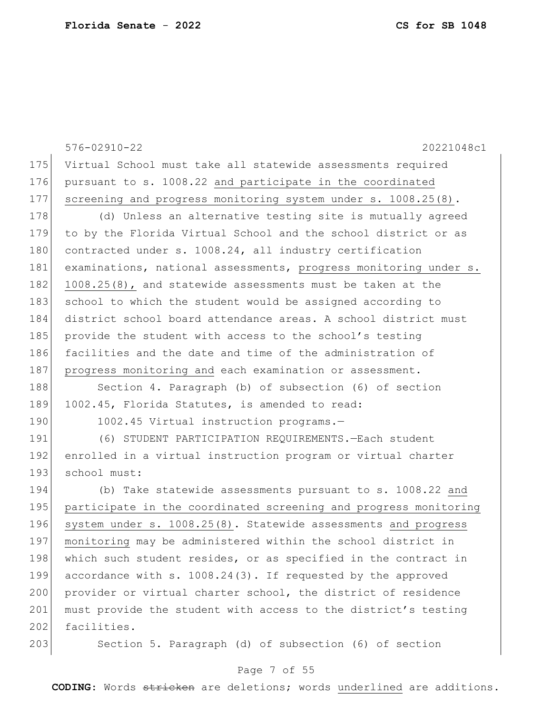|     | 20221048c1<br>$576 - 02910 - 22$                                 |
|-----|------------------------------------------------------------------|
| 175 | Virtual School must take all statewide assessments required      |
| 176 | pursuant to s. 1008.22 and participate in the coordinated        |
| 177 | screening and progress monitoring system under s. 1008.25(8).    |
| 178 | (d) Unless an alternative testing site is mutually agreed        |
| 179 | to by the Florida Virtual School and the school district or as   |
| 180 | contracted under s. 1008.24, all industry certification          |
| 181 | examinations, national assessments, progress monitoring under s. |
| 182 | 1008.25(8), and statewide assessments must be taken at the       |
| 183 | school to which the student would be assigned according to       |
| 184 | district school board attendance areas. A school district must   |
| 185 | provide the student with access to the school's testing          |
| 186 | facilities and the date and time of the administration of        |
| 187 | progress monitoring and each examination or assessment.          |
| 188 | Section 4. Paragraph (b) of subsection (6) of section            |
| 189 | 1002.45, Florida Statutes, is amended to read:                   |
| 190 | 1002.45 Virtual instruction programs.-                           |
| 191 | (6) STUDENT PARTICIPATION REQUIREMENTS. - Each student           |
| 192 | enrolled in a virtual instruction program or virtual charter     |
| 193 | school must:                                                     |
| 194 | (b) Take statewide assessments pursuant to s. 1008.22 and        |
| 195 | participate in the coordinated screening and progress monitoring |
| 196 | system under s. 1008.25(8). Statewide assessments and progress   |
| 197 | monitoring may be administered within the school district in     |
| 198 | which such student resides, or as specified in the contract in   |
| 199 | accordance with s. 1008.24(3). If requested by the approved      |
| 200 | provider or virtual charter school, the district of residence    |
| 201 | must provide the student with access to the district's testing   |
| 202 | facilities.                                                      |
| 203 | Section 5. Paragraph (d) of subsection (6) of section            |

## Page 7 of 55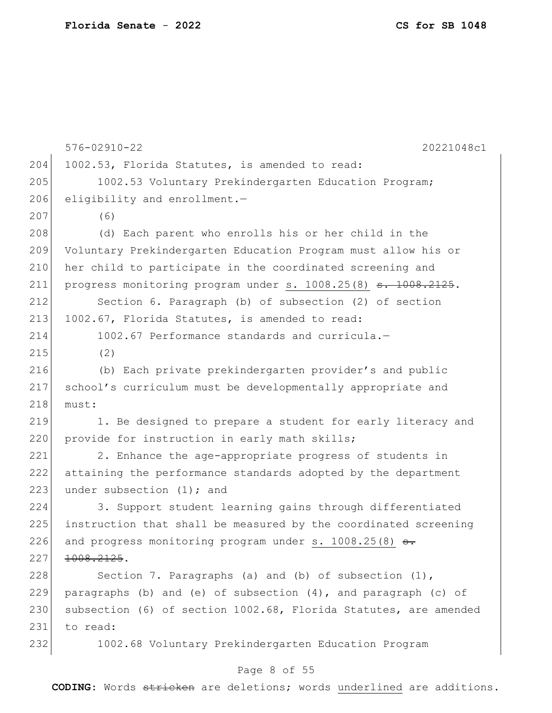576-02910-22 20221048c1 204 1002.53, Florida Statutes, is amended to read: 205 1002.53 Voluntary Prekindergarten Education Program;  $206$  eligibility and enrollment. $-$ 207 (6) 208 (d) Each parent who enrolls his or her child in the 209 Voluntary Prekindergarten Education Program must allow his or 210 her child to participate in the coordinated screening and 211 progress monitoring program under s.  $1008.25(8)$   $\overline{\phantom{0}3.1008.2125.}$ 212 Section 6. Paragraph (b) of subsection (2) of section 213 1002.67, Florida Statutes, is amended to read: 214 1002.67 Performance standards and curricula.— 215 (2) 216 (b) Each private prekindergarten provider's and public 217 school's curriculum must be developmentally appropriate and 218 must: 219 1. Be designed to prepare a student for early literacy and 220 provide for instruction in early math skills; 221 2. Enhance the age-appropriate progress of students in 222 attaining the performance standards adopted by the department 223 under subsection  $(1)$ ; and 224 3. Support student learning gains through differentiated 225 instruction that shall be measured by the coordinated screening 226 and progress monitoring program under s.  $1008.25(8)$   $\rightarrow$ 227 | 1008.2125. 228 Section 7. Paragraphs (a) and (b) of subsection  $(1)$ , 229 paragraphs (b) and (e) of subsection  $(4)$ , and paragraph (c) of 230 subsection (6) of section 1002.68, Florida Statutes, are amended 231 to read: 232 1002.68 Voluntary Prekindergarten Education Program

#### Page 8 of 55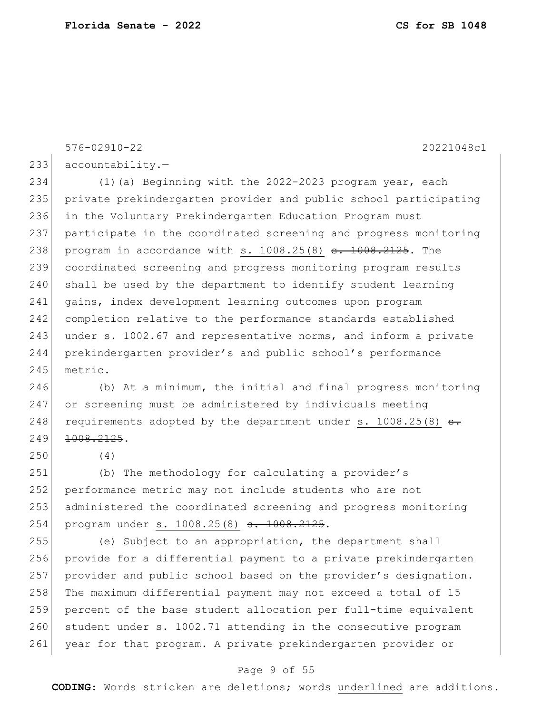576-02910-22 20221048c1

 $233$  accountability.

234 (1) (a) Beginning with the 2022-2023 program year, each 235 private prekindergarten provider and public school participating 236 in the Voluntary Prekindergarten Education Program must 237 participate in the coordinated screening and progress monitoring 238 program in accordance with s.  $1008.25(8)$   $\overline{\phantom{0}3}$ .  $1008.2125$ . The 239 coordinated screening and progress monitoring program results 240 shall be used by the department to identify student learning 241 gains, index development learning outcomes upon program 242 completion relative to the performance standards established 243 under s. 1002.67 and representative norms, and inform a private 244 prekindergarten provider's and public school's performance 245 metric.

246 (b) At a minimum, the initial and final progress monitoring 247 or screening must be administered by individuals meeting 248 requirements adopted by the department under s.  $1008.25(8)$  s. 249 <del>1008.2125</del>.

250 (4)

251 (b) The methodology for calculating a provider's 252 performance metric may not include students who are not 253 administered the coordinated screening and progress monitoring 254 program under s. 1008.25(8) <del>s. 1008.2125</del>.

255 (e) Subject to an appropriation, the department shall 256 provide for a differential payment to a private prekindergarten 257 provider and public school based on the provider's designation. 258 The maximum differential payment may not exceed a total of 15 259 percent of the base student allocation per full-time equivalent 260 student under s. 1002.71 attending in the consecutive program 261 year for that program. A private prekindergarten provider or

#### Page 9 of 55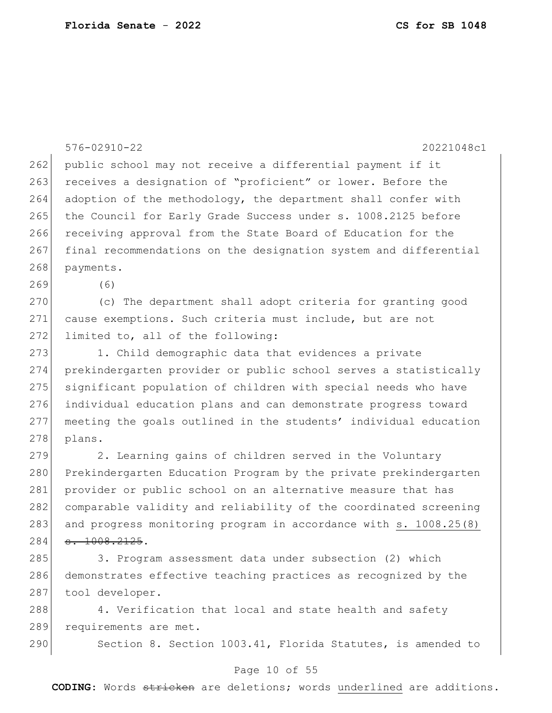|     | $576 - 02910 - 22$<br>20221048c1                                 |
|-----|------------------------------------------------------------------|
| 262 | public school may not receive a differential payment if it       |
| 263 | receives a designation of "proficient" or lower. Before the      |
| 264 | adoption of the methodology, the department shall confer with    |
| 265 | the Council for Early Grade Success under s. 1008.2125 before    |
| 266 | receiving approval from the State Board of Education for the     |
| 267 | final recommendations on the designation system and differential |
| 268 | payments.                                                        |
| 269 | (6)                                                              |
| 270 | (c) The department shall adopt criteria for granting good        |
| 271 | cause exemptions. Such criteria must include, but are not        |
| 272 | limited to, all of the following:                                |
| 273 | 1. Child demographic data that evidences a private               |
| 274 | prekindergarten provider or public school serves a statistically |
| 275 | significant population of children with special needs who have   |
| 276 | individual education plans and can demonstrate progress toward   |
| 277 | meeting the goals outlined in the students' individual education |
| 278 | plans.                                                           |
| 279 | 2. Learning gains of children served in the Voluntary            |
| 280 | Prekindergarten Education Program by the private prekindergarten |
| 281 | provider or public school on an alternative measure that has     |
| 282 | comparable validity and reliability of the coordinated screening |
| 283 | and progress monitoring program in accordance with s. 1008.25(8) |
| 284 | $-1008.2125.$                                                    |
| 285 | 3. Program assessment data under subsection (2) which            |
| 286 | demonstrates effective teaching practices as recognized by the   |
| 287 | tool developer.                                                  |
| 288 | 4. Verification that local and state health and safety           |
| 289 | requirements are met.                                            |
| 290 | Section 8. Section 1003.41, Florida Statutes, is amended to      |

## Page 10 of 55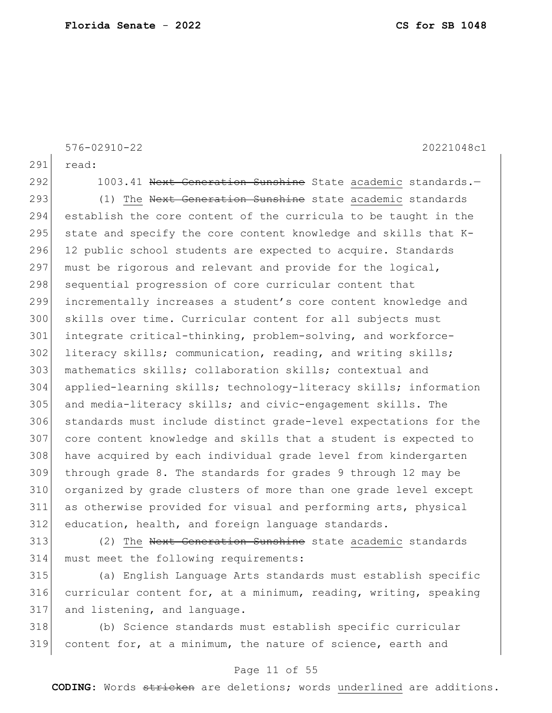291 read: 292 1003.41 Next Generation Sunshine State academic standards.-293 (1) The Next Generation Sunshine state academic standards establish the core content of the curricula to be taught in the 295 state and specify the core content knowledge and skills that  $K-$ 296 12 public school students are expected to acquire. Standards 297 must be rigorous and relevant and provide for the logical, 298 sequential progression of core curricular content that incrementally increases a student's core content knowledge and skills over time. Curricular content for all subjects must 301 integrate critical-thinking, problem-solving, and workforce- literacy skills; communication, reading, and writing skills; mathematics skills; collaboration skills; contextual and applied-learning skills; technology-literacy skills; information and media-literacy skills; and civic-engagement skills. The standards must include distinct grade-level expectations for the core content knowledge and skills that a student is expected to have acquired by each individual grade level from kindergarten through grade 8. The standards for grades 9 through 12 may be organized by grade clusters of more than one grade level except as otherwise provided for visual and performing arts, physical education, health, and foreign language standards.

576-02910-22 20221048c1

313 (2) The Next Generation Sunshine state academic standards 314 must meet the following requirements:

315 (a) English Language Arts standards must establish specific 316 curricular content for, at a minimum, reading, writing, speaking 317 and listening, and language.

318 (b) Science standards must establish specific curricular 319 content for, at a minimum, the nature of science, earth and

### Page 11 of 55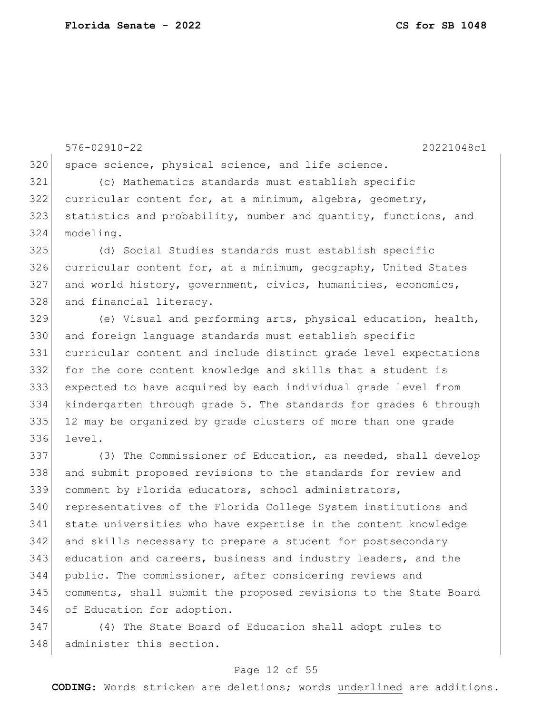576-02910-22 20221048c1 320 | space science, physical science, and life science. (c) Mathematics standards must establish specific curricular content for, at a minimum, algebra, geometry, 323 statistics and probability, number and quantity, functions, and modeling. (d) Social Studies standards must establish specific 326 curricular content for, at a minimum, geography, United States and world history, government, civics, humanities, economics, 328 and financial literacy. (e) Visual and performing arts, physical education, health, and foreign language standards must establish specific curricular content and include distinct grade level expectations for the core content knowledge and skills that a student is expected to have acquired by each individual grade level from kindergarten through grade 5. The standards for grades 6 through 12 may be organized by grade clusters of more than one grade level. 337 (3) The Commissioner of Education, as needed, shall develop and submit proposed revisions to the standards for review and comment by Florida educators, school administrators, 340 representatives of the Florida College System institutions and state universities who have expertise in the content knowledge and skills necessary to prepare a student for postsecondary 343 education and careers, business and industry leaders, and the public. The commissioner, after considering reviews and comments, shall submit the proposed revisions to the State Board

 (4) The State Board of Education shall adopt rules to 348 administer this section.

346 of Education for adoption.

### Page 12 of 55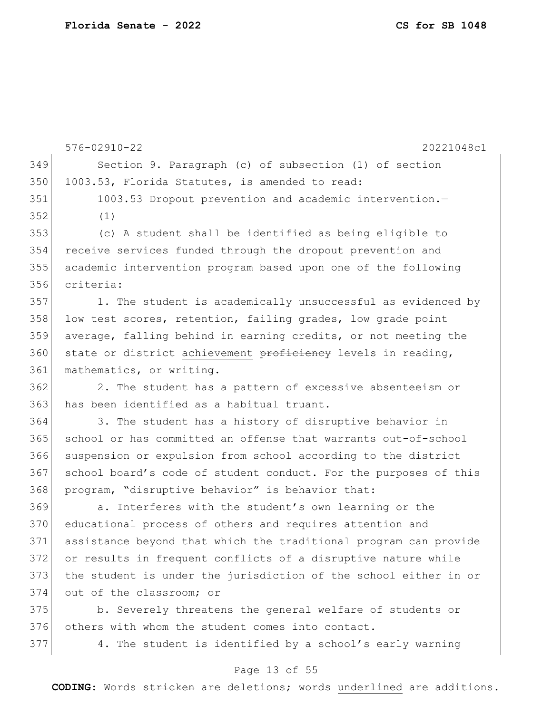576-02910-22 20221048c1 Section 9. Paragraph (c) of subsection (1) of section 350 1003.53, Florida Statutes, is amended to read: 351 1003.53 Dropout prevention and academic intervention. (1) (c) A student shall be identified as being eligible to receive services funded through the dropout prevention and academic intervention program based upon one of the following criteria: 1. The student is academically unsuccessful as evidenced by 358 low test scores, retention, failing grades, low grade point average, falling behind in earning credits, or not meeting the 360 state or district achievement proficiency levels in reading, 361 mathematics, or writing. 2. The student has a pattern of excessive absenteeism or 363 has been identified as a habitual truant. 364 3. The student has a history of disruptive behavior in school or has committed an offense that warrants out-of-school suspension or expulsion from school according to the district 367 school board's code of student conduct. For the purposes of this program, "disruptive behavior" is behavior that: a. Interferes with the student's own learning or the 370 educational process of others and requires attention and assistance beyond that which the traditional program can provide or results in frequent conflicts of a disruptive nature while the student is under the jurisdiction of the school either in or out of the classroom; or

 b. Severely threatens the general welfare of students or others with whom the student comes into contact.

4. The student is identified by a school's early warning

### Page 13 of 55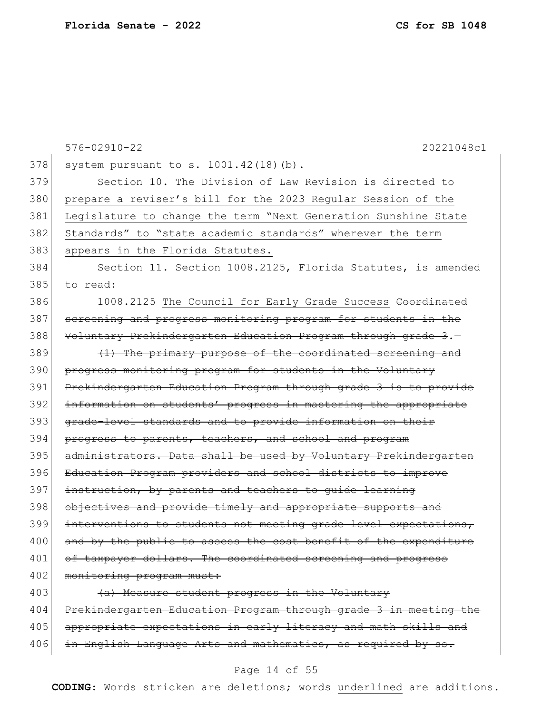|     | $576 - 02910 - 22$<br>20221048c1                                 |
|-----|------------------------------------------------------------------|
| 378 | system pursuant to s. 1001.42(18)(b).                            |
| 379 | Section 10. The Division of Law Revision is directed to          |
| 380 | prepare a reviser's bill for the 2023 Regular Session of the     |
| 381 | Legislature to change the term "Next Generation Sunshine State   |
| 382 | Standards" to "state academic standards" wherever the term       |
| 383 | appears in the Florida Statutes.                                 |
| 384 | Section 11. Section 1008.2125, Florida Statutes, is amended      |
| 385 | to read:                                                         |
| 386 | 1008.2125 The Council for Early Grade Success Coordinated        |
| 387 | screening and progress monitoring program for students in the    |
| 388 | Voluntary Prekindergarten Education Program through grade 3.-    |
| 389 | (1) The primary purpose of the coordinated screening and         |
| 390 | progress monitoring program for students in the Voluntary        |
| 391 | Prekindergarten Education Program through grade 3 is to provide  |
| 392 | information on students' progress in mastering the appropriate   |
| 393 | grade-level standards and to provide information on their        |
| 394 | progress to parents, teachers, and school and program            |
| 395 | administrators. Data shall be used by Voluntary Prekindergarten  |
| 396 | Education Program providers and school districts to improve      |
| 397 | instruction, by parents and teachers to quide learning           |
| 398 | objectives and provide timely and appropriate supports and       |
| 399 | interventions to students not meeting grade-level expectations,  |
| 400 | and by the public to assess the cost benefit of the expenditure  |
| 401 | of taxpayer dollars. The coordinated screening and progress      |
| 402 | monitoring program must:                                         |
| 403 | (a) Measure student progress in the Voluntary                    |
| 404 | Prekindergarten Education Program through grade 3 in meeting the |
| 405 | appropriate expectations in early literacy and math skills and   |
| 406 | in English Language Arts and mathematics, as required by ss.     |

## Page 14 of 55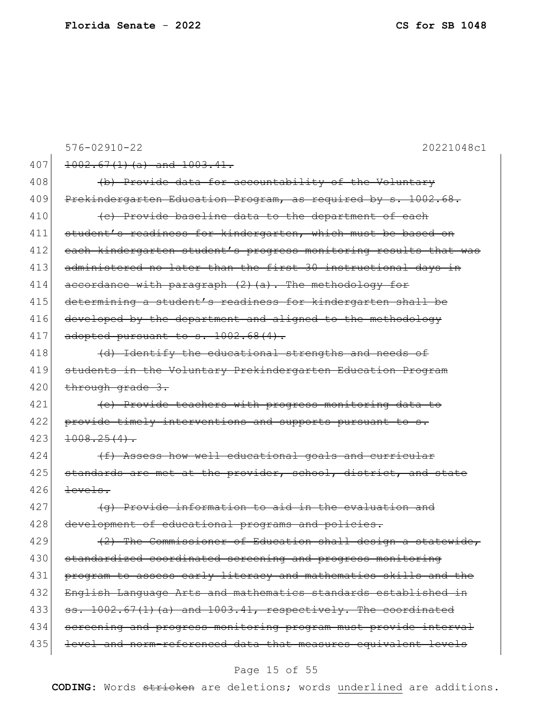|     | $576 - 02910 - 22$<br>20221048c1                                 |
|-----|------------------------------------------------------------------|
| 407 | $1002.67(1)(a)$ and $1003.41$ .                                  |
| 408 | (b) Provide data for accountability of the Voluntary             |
| 409 | Prekindergarten Education Program, as required by s. 1002.68.    |
| 410 | (c) Provide baseline data to the department of each              |
| 411 | student's readiness for kindergarten, which must be based on     |
| 412 | each kindergarten student's progress monitoring results that was |
| 413 | administered no later than the first 30 instructional days in    |
| 414 | accordance with paragraph $(2)$ $(a)$ . The methodology for      |
| 415 | determining a student's readiness for kindergarten shall be      |
| 416 | developed by the department and aligned to the methodology       |
| 417 | adopted pursuant to s. 1002.68(4).                               |
| 418 | (d) Identify the educational strengths and needs of              |
| 419 | students in the Voluntary Prekindergarten Education Program      |
| 420 | through grade 3.                                                 |
| 421 | (e) Provide teachers with progress monitoring data to            |
| 422 | provide timely interventions and supports pursuant to s.         |
| 423 | $1008.25(4)$ .                                                   |
| 424 | (f) Assess how well educational goals and curricular             |
| 425 | standards are met at the provider, school, district, and state   |
| 426 | levels.                                                          |
| 427 | (g) Provide information to aid in the evaluation and             |
| 428 | development of educational programs and policies.                |
| 429 | (2) The Commissioner of Education shall design a statewide,      |
| 430 | standardized coordinated screening and progress monitoring       |
| 431 | program to assess early literacy and mathematics skills and the  |
| 432 | English Language Arts and mathematics standards established in   |
| 433 | ss. 1002.67(1)(a) and 1003.41, respectively. The coordinated     |
| 434 | screening and progress monitoring program must provide interval  |
| 435 | level and norm-referenced data that measures equivalent levels   |

## Page 15 of 55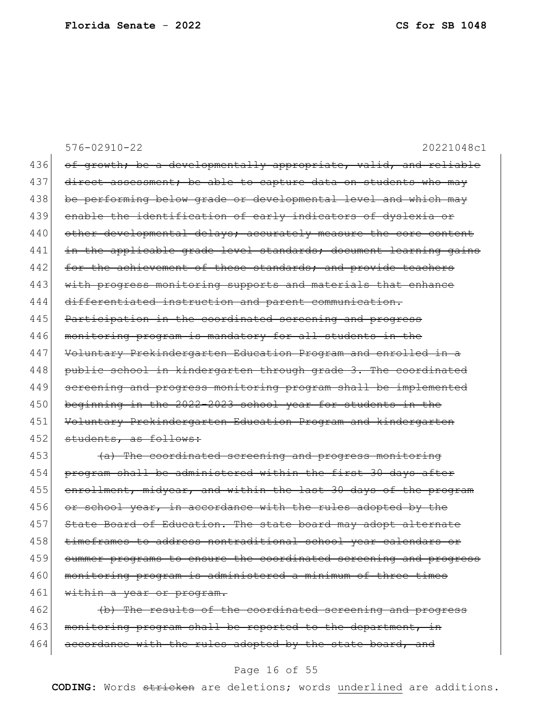|     | $576 - 02910 - 22$<br>20221048c1                                 |
|-----|------------------------------------------------------------------|
| 436 | of growth; be a developmentally appropriate, valid, and reliable |
| 437 | direct assessment; be able to capture data on students who may   |
| 438 | be performing below grade or developmental level and which may   |
| 439 | enable the identification of early indicators of dyslexia or     |
| 440 | other developmental delays; accurately measure the core content  |
| 441 | in the applicable grade level standards; document learning gains |
| 442 | for the achievement of these standards; and provide teachers     |
| 443 | with progress monitoring supports and materials that enhance     |
| 444 | differentiated instruction and parent communication.             |
| 445 | Participation in the coordinated screening and progress          |
| 446 | monitoring program is mandatory for all students in the          |
| 447 | Voluntary Prekindergarten Education Program and enrolled in a    |
| 448 | public school in kindergarten through grade 3. The coordinated   |
| 449 | screening and progress monitoring program shall be implemented   |
| 450 | beginning in the 2022-2023 school year for students in the       |
| 451 | Voluntary Prekindergarten Education Program and kindergarten     |
| 452 | students, as follows:                                            |
| 453 | (a) The coordinated screening and progress monitoring            |
| 454 | program shall be administered within the first 30 days after     |
| 455 | enrollment, midyear, and within the last 30 days of the program  |
| 456 | or school year, in accordance with the rules adopted by the      |
| 457 | State Board of Education. The state board may adopt alternate    |
| 458 | timeframes to address nontraditional school year calendars or    |
| 459 | summer programs to ensure the coordinated screening and progress |
| 460 | monitoring program is administered a minimum of three times      |
| 461 | within a year or program.                                        |
| 462 | (b) The results of the coordinated screening and progress        |
| 463 | monitoring program shall be reported to the department, in       |
| 464 | accordance with the rules adopted by the state board, and        |

## Page 16 of 55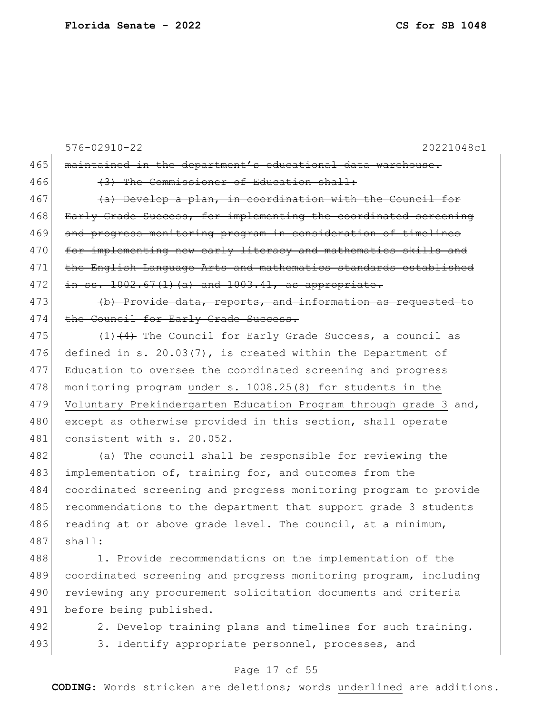```
576-02910-22 20221048c1
465 maintained in the department's educational data warehouse.
466 (3) The Commissioner of Education shall:
467 (a) Develop a plan, in coordination with the Council for
468 Early Grade Success, for implementing the coordinated screening
469 and progress monitoring program in consideration of timelines
470 for implementing new early literacy and mathematics skills and
471 the English Language Arts and mathematics standards established
472 in ss. 1002.67(1)(a) and 1003.41, as appropriate.
473 (b) Provide data, reports, and information as requested to
474 the Council for Early Grade Success.
475 (1) (4) The Council for Early Grade Success, a council as
476 defined in s. 20.03(7), is created within the Department of
477 Education to oversee the coordinated screening and progress 
478 monitoring program under s. 1008.25(8) for students in the
479 Voluntary Prekindergarten Education Program through grade 3 and,
480 except as otherwise provided in this section, shall operate
481 consistent with s. 20.052.
482 (a) The council shall be responsible for reviewing the
483 implementation of, training for, and outcomes from the 
484 coordinated screening and progress monitoring program to provide
```
485 recommendations to the department that support grade 3 students 486 reading at or above grade level. The council, at a minimum,  $487$  shall:

488 1. Provide recommendations on the implementation of the 489 coordinated screening and progress monitoring program, including 490 reviewing any procurement solicitation documents and criteria 491 before being published.

492 2. Develop training plans and timelines for such training. 493 3. Identify appropriate personnel, processes, and

#### Page 17 of 55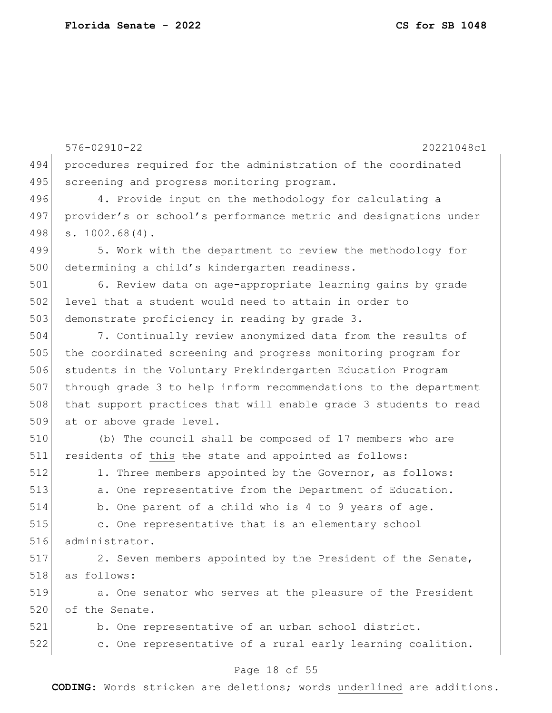576-02910-22 20221048c1 494 procedures required for the administration of the coordinated 495 screening and progress monitoring program. 496 4. Provide input on the methodology for calculating a 497 provider's or school's performance metric and designations under 498 s. 1002.68(4). 499 5. Work with the department to review the methodology for 500 determining a child's kindergarten readiness. 501 6. Review data on age-appropriate learning gains by grade 502 level that a student would need to attain in order to 503 demonstrate proficiency in reading by grade 3. 504 7. Continually review anonymized data from the results of 505 the coordinated screening and progress monitoring program for 506 students in the Voluntary Prekindergarten Education Program 507 through grade 3 to help inform recommendations to the department 508 that support practices that will enable grade 3 students to read 509 at or above grade level. 510 (b) The council shall be composed of 17 members who are  $511$  residents of this the state and appointed as follows: 512 1. Three members appointed by the Governor, as follows: 513 a. One representative from the Department of Education. 514 b. One parent of a child who is 4 to 9 years of age. 515 c. One representative that is an elementary school 516 administrator. 517 2. Seven members appointed by the President of the Senate, 518 as follows: 519 a. One senator who serves at the pleasure of the President 520 of the Senate. 521 b. One representative of an urban school district. 522 c. One representative of a rural early learning coalition.

### Page 18 of 55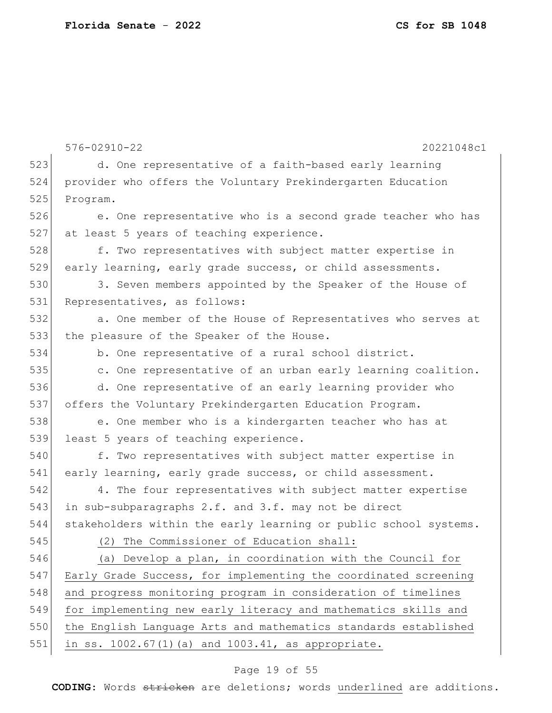|     | $576 - 02910 - 22$<br>20221048c1                                 |
|-----|------------------------------------------------------------------|
| 523 | d. One representative of a faith-based early learning            |
| 524 | provider who offers the Voluntary Prekindergarten Education      |
| 525 | Program.                                                         |
| 526 | e. One representative who is a second grade teacher who has      |
| 527 | at least 5 years of teaching experience.                         |
| 528 | f. Two representatives with subject matter expertise in          |
| 529 | early learning, early grade success, or child assessments.       |
| 530 | 3. Seven members appointed by the Speaker of the House of        |
| 531 | Representatives, as follows:                                     |
| 532 | a. One member of the House of Representatives who serves at      |
| 533 | the pleasure of the Speaker of the House.                        |
| 534 | b. One representative of a rural school district.                |
| 535 | c. One representative of an urban early learning coalition.      |
| 536 | d. One representative of an early learning provider who          |
| 537 | offers the Voluntary Prekindergarten Education Program.          |
| 538 | e. One member who is a kindergarten teacher who has at           |
| 539 | least 5 years of teaching experience.                            |
| 540 | f. Two representatives with subject matter expertise in          |
| 541 | early learning, early grade success, or child assessment.        |
| 542 | 4. The four representatives with subject matter expertise        |
| 543 | in sub-subparagraphs 2.f. and 3.f. may not be direct             |
| 544 | stakeholders within the early learning or public school systems. |
| 545 | (2) The Commissioner of Education shall:                         |
| 546 | (a) Develop a plan, in coordination with the Council for         |
| 547 | Early Grade Success, for implementing the coordinated screening  |
| 548 | and progress monitoring program in consideration of timelines    |
| 549 | for implementing new early literacy and mathematics skills and   |
| 550 | the English Language Arts and mathematics standards established  |
| 551 | in ss. 1002.67(1)(a) and 1003.41, as appropriate.                |

## Page 19 of 55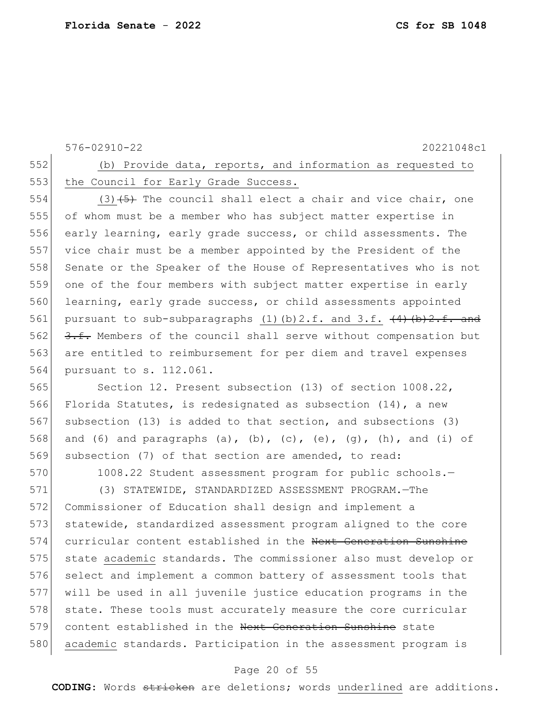576-02910-22 20221048c1 552 (b) Provide data, reports, and information as requested to 553 the Council for Early Grade Success. 554 (3)  $(5)$  The council shall elect a chair and vice chair, one 555 of whom must be a member who has subject matter expertise in 556 early learning, early grade success, or child assessments. The 557 vice chair must be a member appointed by the President of the 558 Senate or the Speaker of the House of Representatives who is not 559 one of the four members with subject matter expertise in early 560 learning, early grade success, or child assessments appointed 561 pursuant to sub-subparagraphs  $(1)(b)$  2.f. and 3.f.  $(4)(b)$   $2.1$ . 562  $\frac{3.1}{1.5}$  Members of the council shall serve without compensation but 563 are entitled to reimbursement for per diem and travel expenses 564 pursuant to s. 112.061. 565 Section 12. Present subsection (13) of section 1008.22, 566 Florida Statutes, is redesignated as subsection (14), a new 567 subsection (13) is added to that section, and subsections (3) 568 and (6) and paragraphs (a), (b), (c), (e), (g), (h), and (i) of 569 subsection (7) of that section are amended, to read: 570 1008.22 Student assessment program for public schools.-571 (3) STATEWIDE, STANDARDIZED ASSESSMENT PROGRAM.—The 572 Commissioner of Education shall design and implement a 573 statewide, standardized assessment program aligned to the core 574 curricular content established in the Next Generation Sunshine 575 state academic standards. The commissioner also must develop or 576 select and implement a common battery of assessment tools that 577 will be used in all juvenile justice education programs in the 578 state. These tools must accurately measure the core curricular 579 content established in the Next Generation Sunshine state 580 academic standards. Participation in the assessment program is

#### Page 20 of 55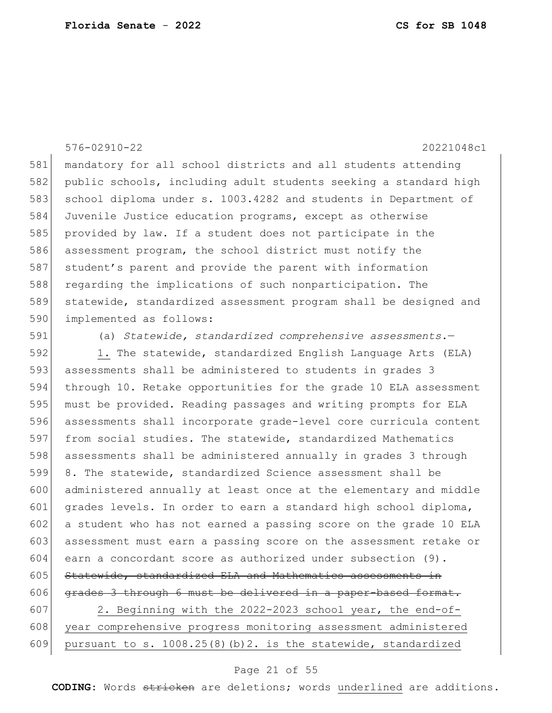### 576-02910-22 20221048c1

 mandatory for all school districts and all students attending public schools, including adult students seeking a standard high 583 school diploma under s. 1003.4282 and students in Department of Juvenile Justice education programs, except as otherwise provided by law. If a student does not participate in the assessment program, the school district must notify the 587 student's parent and provide the parent with information 588 regarding the implications of such nonparticipation. The statewide, standardized assessment program shall be designed and 590 implemented as follows:

(a) *Statewide, standardized comprehensive assessments.*—

 1. The statewide, standardized English Language Arts (ELA) assessments shall be administered to students in grades 3 through 10. Retake opportunities for the grade 10 ELA assessment must be provided. Reading passages and writing prompts for ELA assessments shall incorporate grade-level core curricula content from social studies. The statewide, standardized Mathematics assessments shall be administered annually in grades 3 through 8. The statewide, standardized Science assessment shall be administered annually at least once at the elementary and middle grades levels. In order to earn a standard high school diploma, a student who has not earned a passing score on the grade 10 ELA assessment must earn a passing score on the assessment retake or earn a concordant score as authorized under subsection (9). Statewide, standardized ELA and Mathematics assessments in 606 grades 3 through 6 must be delivered in a paper-based format. 2. Beginning with the 2022-2023 school year, the end-of-608 year comprehensive progress monitoring assessment administered 609 pursuant to s. 1008.25(8)(b)2. is the statewide, standardized

#### Page 21 of 55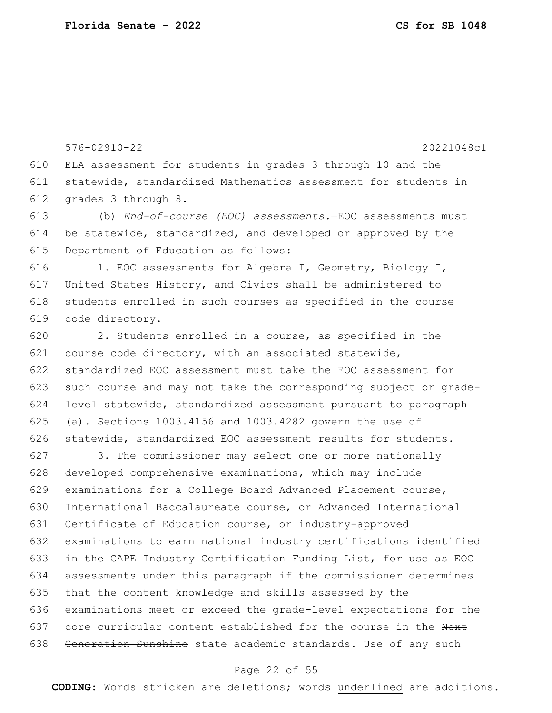610 ELA assessment for students in grades 3 through 10 and the 611 statewide, standardized Mathematics assessment for students in 612 grades 3 through 8. 613 (b) *End-of-course (EOC) assessments.*—EOC assessments must 614 be statewide, standardized, and developed or approved by the 615 Department of Education as follows: 616 1. EOC assessments for Algebra I, Geometry, Biology I, 617 United States History, and Civics shall be administered to 618 students enrolled in such courses as specified in the course 619 code directory.  $620$  2. Students enrolled in a course, as specified in the 621 course code directory, with an associated statewide, 622 standardized EOC assessment must take the EOC assessment for 623 such course and may not take the corresponding subject or grade-624 level statewide, standardized assessment pursuant to paragraph 625 (a). Sections  $1003.4156$  and  $1003.4282$  govern the use of 626 statewide, standardized EOC assessment results for students. 627 3. The commissioner may select one or more nationally 628 developed comprehensive examinations, which may include 629 examinations for a College Board Advanced Placement course, 630 International Baccalaureate course, or Advanced International 631 Certificate of Education course, or industry-approved 632 examinations to earn national industry certifications identified 633 in the CAPE Industry Certification Funding List, for use as EOC 634 assessments under this paragraph if the commissioner determines 635 that the content knowledge and skills assessed by the 636 examinations meet or exceed the grade-level expectations for the 637 core curricular content established for the course in the Next 638 Generation Sunshine state academic standards. Use of any such

576-02910-22 20221048c1

### Page 22 of 55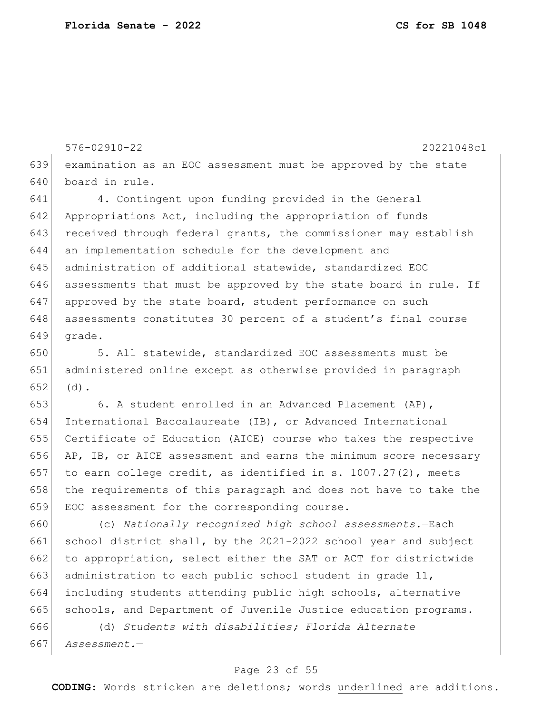576-02910-22 20221048c1 examination as an EOC assessment must be approved by the state board in rule. 4. Contingent upon funding provided in the General 642 Appropriations Act, including the appropriation of funds 643 received through federal grants, the commissioner may establish

 an implementation schedule for the development and administration of additional statewide, standardized EOC assessments that must be approved by the state board in rule. If approved by the state board, student performance on such 648 assessments constitutes 30 percent of a student's final course grade.

 5. All statewide, standardized EOC assessments must be administered online except as otherwise provided in paragraph (d).

 6. A student enrolled in an Advanced Placement (AP), International Baccalaureate (IB), or Advanced International Certificate of Education (AICE) course who takes the respective AP, IB, or AICE assessment and earns the minimum score necessary 657 to earn college credit, as identified in s. 1007.27(2), meets 658 the requirements of this paragraph and does not have to take the EOC assessment for the corresponding course.

 (c) *Nationally recognized high school assessments.*—Each school district shall, by the 2021-2022 school year and subject 662 to appropriation, select either the SAT or ACT for districtwide 663 administration to each public school student in grade , including students attending public high schools, alternative 665 schools, and Department of Juvenile Justice education programs.

 (d) *Students with disabilities; Florida Alternate Assessment.*—

### Page 23 of 55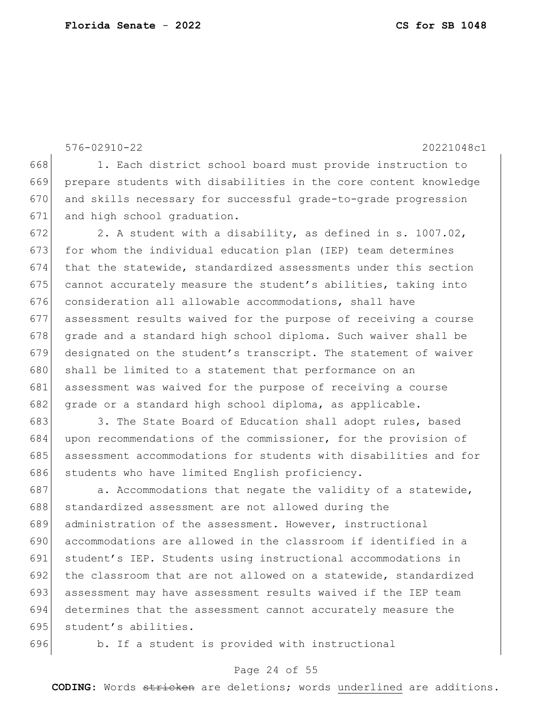576-02910-22 20221048c1 668 1. Each district school board must provide instruction to 669 prepare students with disabilities in the core content knowledge 670 and skills necessary for successful grade-to-grade progression 671 and high school graduation. 672 2. A student with a disability, as defined in s. 1007.02, 673 for whom the individual education plan (IEP) team determines 674 that the statewide, standardized assessments under this section 675 cannot accurately measure the student's abilities, taking into  $676$  consideration all allowable accommodations, shall have 677 assessment results waived for the purpose of receiving a course  $678$  grade and a standard high school diploma. Such waiver shall be 679 designated on the student's transcript. The statement of waiver 680 shall be limited to a statement that performance on an 681 assessment was waived for the purpose of receiving a course 682 grade or a standard high school diploma, as applicable. 683 3. The State Board of Education shall adopt rules, based 684 upon recommendations of the commissioner, for the provision of 685 assessment accommodations for students with disabilities and for 686 students who have limited English proficiency. 687  $\vert$  a. Accommodations that negate the validity of a statewide, 688 standardized assessment are not allowed during the 689 administration of the assessment. However, instructional 690 accommodations are allowed in the classroom if identified in a 691 student's IEP. Students using instructional accommodations in 692 the classroom that are not allowed on a statewide, standardized

693 assessment may have assessment results waived if the IEP team 694 determines that the assessment cannot accurately measure the 695 student's abilities.

696 b. If a student is provided with instructional

### Page 24 of 55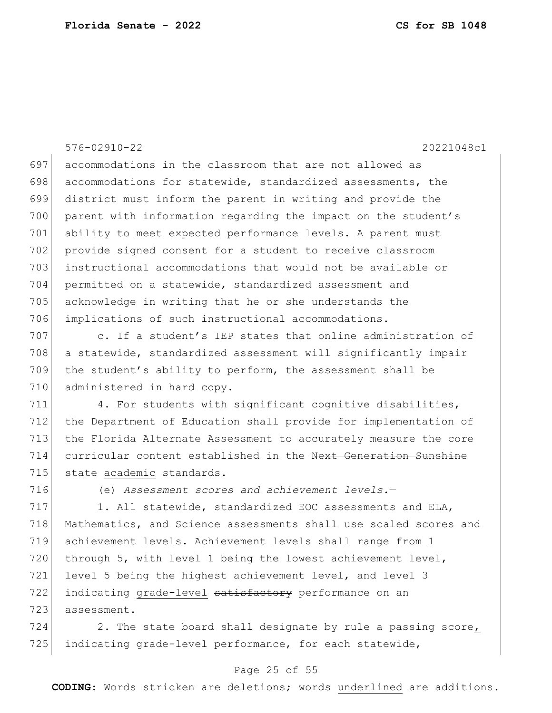576-02910-22 20221048c1

697 accommodations in the classroom that are not allowed as 698 accommodations for statewide, standardized assessments, the district must inform the parent in writing and provide the 700 parent with information regarding the impact on the student's ability to meet expected performance levels. A parent must provide signed consent for a student to receive classroom instructional accommodations that would not be available or permitted on a statewide, standardized assessment and acknowledge in writing that he or she understands the implications of such instructional accommodations.

707 c. If a student's IEP states that online administration of 708 a statewide, standardized assessment will significantly impair 709 the student's ability to perform, the assessment shall be 710 administered in hard copy.

 $711$  4. For students with significant cognitive disabilities, 712 the Department of Education shall provide for implementation of 713 the Florida Alternate Assessment to accurately measure the core 714 curricular content established in the Next Generation Sunshine 715 state academic standards.

716 (e) *Assessment scores and achievement levels.*—

 $717$  1. All statewide, standardized EOC assessments and ELA, 718 Mathematics, and Science assessments shall use scaled scores and 719 achievement levels. Achievement levels shall range from 1 720 through 5, with level 1 being the lowest achievement level, 721 level 5 being the highest achievement level, and level 3 722 indicating grade-level satisfactory performance on an 723 assessment.

 $724$  2. The state board shall designate by rule a passing score, 725 indicating grade-level performance, for each statewide,

### Page 25 of 55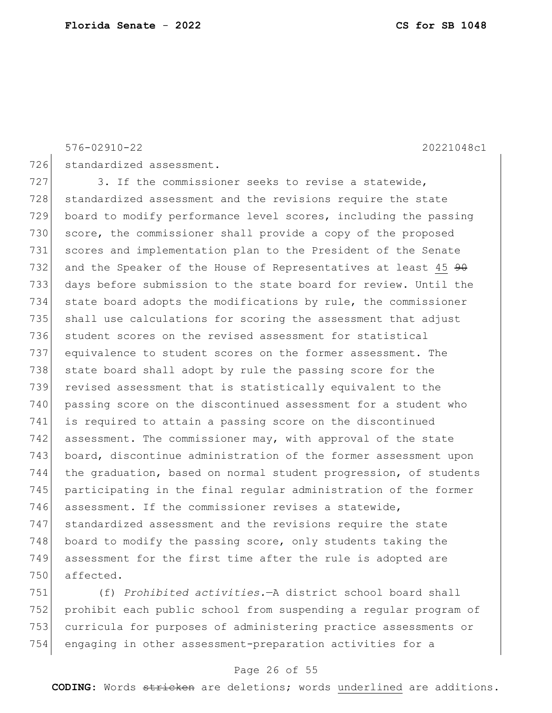576-02910-22 20221048c1

726 standardized assessment.

727 3. If the commissioner seeks to revise a statewide, 728 standardized assessment and the revisions require the state 729 board to modify performance level scores, including the passing 730 score, the commissioner shall provide a copy of the proposed 731 scores and implementation plan to the President of the Senate 732 and the Speaker of the House of Representatives at least 45  $90$ 733 days before submission to the state board for review. Until the 734 state board adopts the modifications by rule, the commissioner 735 shall use calculations for scoring the assessment that adjust 736 student scores on the revised assessment for statistical 737 equivalence to student scores on the former assessment. The 738 state board shall adopt by rule the passing score for the 739 revised assessment that is statistically equivalent to the 740 passing score on the discontinued assessment for a student who 741 is required to attain a passing score on the discontinued 742 assessment. The commissioner may, with approval of the state 743 board, discontinue administration of the former assessment upon 744 the graduation, based on normal student progression, of students 745 participating in the final regular administration of the former 746 assessment. If the commissioner revises a statewide, 747 standardized assessment and the revisions require the state 748 board to modify the passing score, only students taking the 749 assessment for the first time after the rule is adopted are 750 affected.

 (f) *Prohibited activities.*—A district school board shall prohibit each public school from suspending a regular program of curricula for purposes of administering practice assessments or engaging in other assessment-preparation activities for a

### Page 26 of 55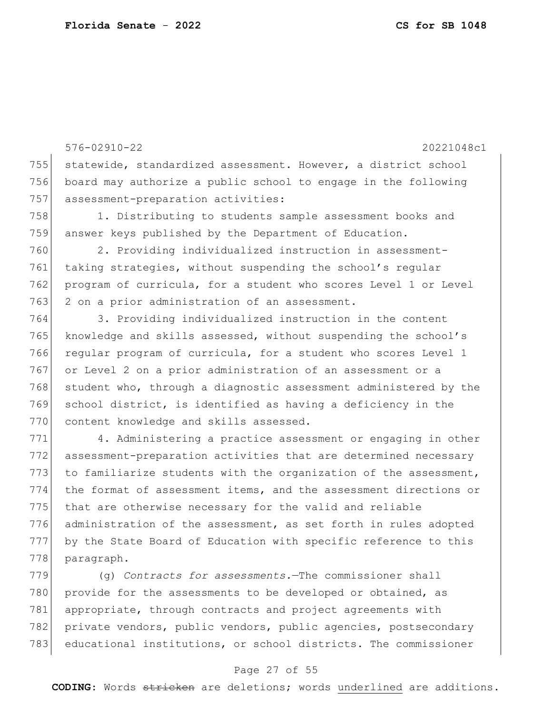576-02910-22 20221048c1 755 statewide, standardized assessment. However, a district school 756 board may authorize a public school to engage in the following 757 assessment-preparation activities: 758 1. Distributing to students sample assessment books and 759 answer keys published by the Department of Education. 760 2. Providing individualized instruction in assessment-761 taking strategies, without suspending the school's regular 762 program of curricula, for a student who scores Level 1 or Level 763 2 on a prior administration of an assessment. 764 3. Providing individualized instruction in the content 765 knowledge and skills assessed, without suspending the school's 766 regular program of curricula, for a student who scores Level 1 767 or Level 2 on a prior administration of an assessment or a 768 student who, through a diagnostic assessment administered by the 769 school district, is identified as having a deficiency in the 770 content knowledge and skills assessed. 771 4. Administering a practice assessment or engaging in other 772 assessment-preparation activities that are determined necessary 773 to familiarize students with the organization of the assessment, 774 the format of assessment items, and the assessment directions or 775 that are otherwise necessary for the valid and reliable 776 administration of the assessment, as set forth in rules adopted 777 by the State Board of Education with specific reference to this 778 paragraph.

779 (g) *Contracts for assessments.*—The commissioner shall 780 provide for the assessments to be developed or obtained, as 781 appropriate, through contracts and project agreements with 782 private vendors, public vendors, public agencies, postsecondary 783 educational institutions, or school districts. The commissioner

#### Page 27 of 55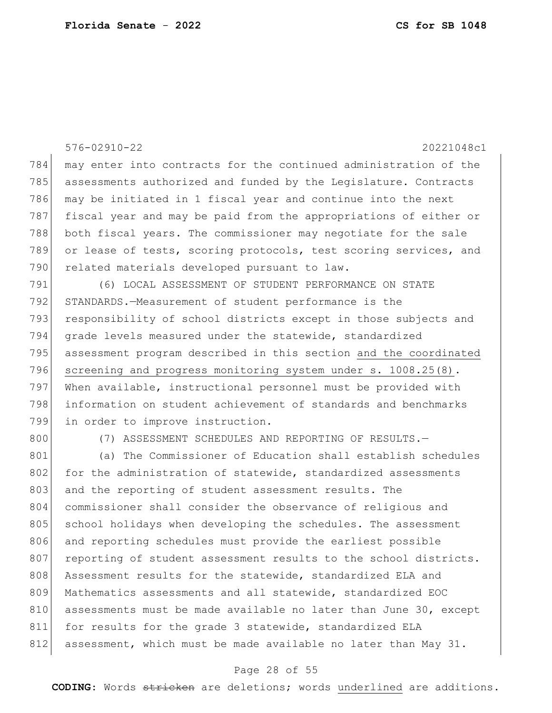|     | $576 - 02910 - 22$<br>20221048c1                                 |
|-----|------------------------------------------------------------------|
| 784 | may enter into contracts for the continued administration of the |
| 785 | assessments authorized and funded by the Legislature. Contracts  |
| 786 | may be initiated in 1 fiscal year and continue into the next     |
| 787 | fiscal year and may be paid from the appropriations of either or |
| 788 | both fiscal years. The commissioner may negotiate for the sale   |
| 789 | or lease of tests, scoring protocols, test scoring services, and |
| 790 | related materials developed pursuant to law.                     |
| 791 | (6) LOCAL ASSESSMENT OF STUDENT PERFORMANCE ON STATE             |
| 792 | STANDARDS.-Measurement of student performance is the             |
| 793 | responsibility of school districts except in those subjects and  |
| 794 | grade levels measured under the statewide, standardized          |
| 795 | assessment program described in this section and the coordinated |
| 796 | screening and progress monitoring system under s. 1008.25(8).    |
| 797 | When available, instructional personnel must be provided with    |
| 798 | information on student achievement of standards and benchmarks   |
| 799 | in order to improve instruction.                                 |
| 800 | (7) ASSESSMENT SCHEDULES AND REPORTING OF RESULTS. -             |
| 801 | (a) The Commissioner of Education shall establish schedules      |
| 802 | for the administration of statewide, standardized assessments    |
| 803 | and the reporting of student assessment results. The             |
| 804 | commissioner shall consider the observance of religious and      |
| 805 | school holidays when developing the schedules. The assessment    |
| 806 | and reporting schedules must provide the earliest possible       |
| 807 | reporting of student assessment results to the school districts. |
| 808 | Assessment results for the statewide, standardized ELA and       |
| 809 | Mathematics assessments and all statewide, standardized EOC      |
| 810 | assessments must be made available no later than June 30, except |
| 811 | for results for the grade 3 statewide, standardized ELA          |
| 812 | assessment, which must be made available no later than May 31.   |

## Page 28 of 55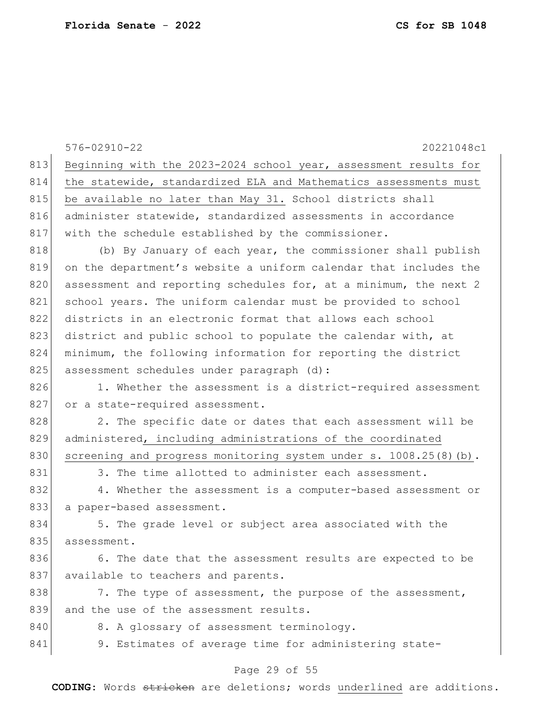|     | $576 - 02910 - 22$<br>20221048c1                                  |
|-----|-------------------------------------------------------------------|
| 813 | Beginning with the 2023-2024 school year, assessment results for  |
| 814 | the statewide, standardized ELA and Mathematics assessments must  |
| 815 | be available no later than May 31. School districts shall         |
| 816 | administer statewide, standardized assessments in accordance      |
| 817 | with the schedule established by the commissioner.                |
| 818 | (b) By January of each year, the commissioner shall publish       |
| 819 | on the department's website a uniform calendar that includes the  |
| 820 | assessment and reporting schedules for, at a minimum, the next 2  |
| 821 | school years. The uniform calendar must be provided to school     |
| 822 | districts in an electronic format that allows each school         |
| 823 | district and public school to populate the calendar with, at      |
| 824 | minimum, the following information for reporting the district     |
| 825 | assessment schedules under paragraph (d):                         |
| 826 | 1. Whether the assessment is a district-required assessment       |
| 827 | or a state-required assessment.                                   |
| 828 | 2. The specific date or dates that each assessment will be        |
| 829 | administered, including administrations of the coordinated        |
| 830 | screening and progress monitoring system under s. 1008.25(8) (b). |
| 831 | 3. The time allotted to administer each assessment.               |
| 832 | 4. Whether the assessment is a computer-based assessment or       |
| 833 | a paper-based assessment.                                         |
| 834 | 5. The grade level or subject area associated with the            |
| 835 | assessment.                                                       |
| 836 | 6. The date that the assessment results are expected to be        |
| 837 | available to teachers and parents.                                |
| 838 | 7. The type of assessment, the purpose of the assessment,         |
| 839 | and the use of the assessment results.                            |
| 840 | 8. A glossary of assessment terminology.                          |
| 841 | 9. Estimates of average time for administering state-             |
|     |                                                                   |

## Page 29 of 55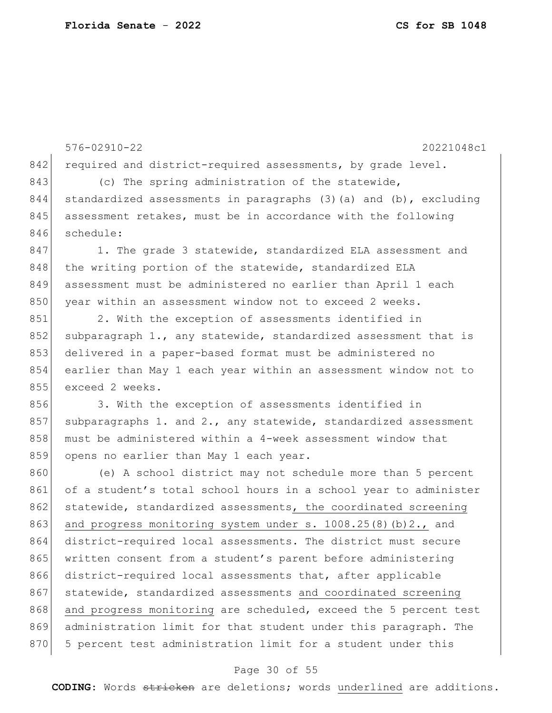576-02910-22 20221048c1 842 required and district-required assessments, by grade level. 843 (c) The spring administration of the statewide, 844 standardized assessments in paragraphs  $(3)$  (a) and  $(b)$ , excluding 845 assessment retakes, must be in accordance with the following 846 schedule: 847 1. The grade 3 statewide, standardized ELA assessment and 848 the writing portion of the statewide, standardized ELA 849 assessment must be administered no earlier than April 1 each 850 year within an assessment window not to exceed 2 weeks. 851 2. With the exception of assessments identified in 852 subparagraph 1., any statewide, standardized assessment that is 853 delivered in a paper-based format must be administered no 854 earlier than May 1 each year within an assessment window not to 855 exceed 2 weeks. 856 3. With the exception of assessments identified in 857 subparagraphs 1. and 2., any statewide, standardized assessment 858 must be administered within a 4-week assessment window that 859 opens no earlier than May 1 each year. 860 (e) A school district may not schedule more than 5 percent 861 of a student's total school hours in a school year to administer 862 statewide, standardized assessments, the coordinated screening 863 and progress monitoring system under s. 1008.25(8)(b)2., and 864 district-required local assessments. The district must secure 865 written consent from a student's parent before administering

867 statewide, standardized assessments and coordinated screening 868 and progress monitoring are scheduled, exceed the 5 percent test 869 administration limit for that student under this paragraph. The 870 5 percent test administration limit for a student under this

866 district-required local assessments that, after applicable

#### Page 30 of 55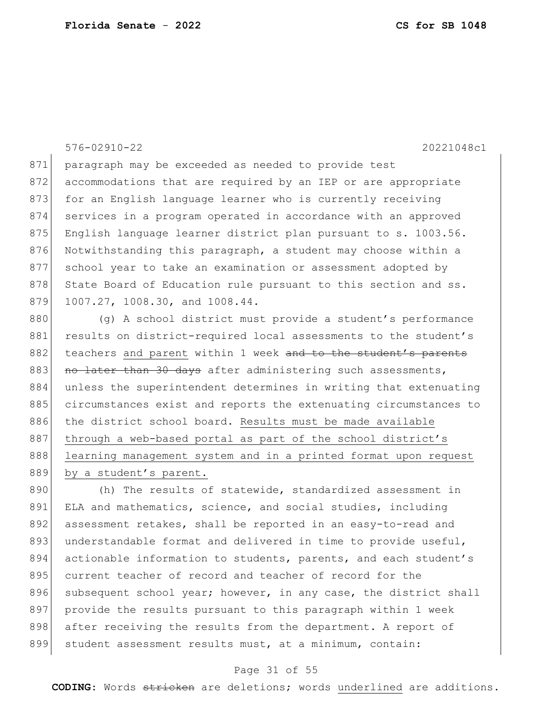576-02910-22 20221048c1

871 paragraph may be exceeded as needed to provide test 872 accommodations that are required by an IEP or are appropriate 873 for an English language learner who is currently receiving 874 services in a program operated in accordance with an approved 875 English language learner district plan pursuant to s. 1003.56. 876 Notwithstanding this paragraph, a student may choose within a 877 school year to take an examination or assessment adopted by 878 State Board of Education rule pursuant to this section and ss. 879 1007.27, 1008.30, and 1008.44.

880 (g) A school district must provide a student's performance 881 results on district-required local assessments to the student's 882 teachers and parent within 1 week and to the student's parents 883 no later than 30 days after administering such assessments, 884 unless the superintendent determines in writing that extenuating 885 circumstances exist and reports the extenuating circumstances to 886 the district school board. Results must be made available 887 through a web-based portal as part of the school district's 888 learning management system and in a printed format upon request 889 by a student's parent.

890 (h) The results of statewide, standardized assessment in 891 ELA and mathematics, science, and social studies, including 892 assessment retakes, shall be reported in an easy-to-read and 893 understandable format and delivered in time to provide useful, 894 actionable information to students, parents, and each student's 895 current teacher of record and teacher of record for the 896 subsequent school year; however, in any case, the district shall 897 provide the results pursuant to this paragraph within 1 week 898 after receiving the results from the department. A report of 899 student assessment results must, at a minimum, contain:

### Page 31 of 55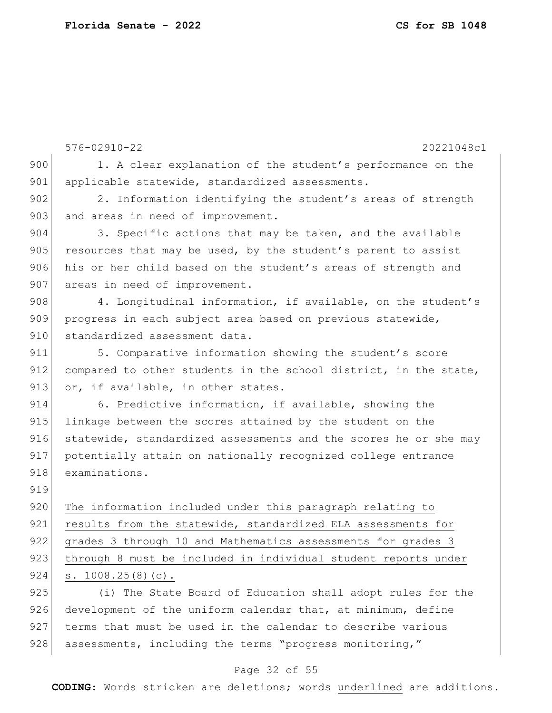|     | $576 - 02910 - 22$<br>20221048c1                                 |
|-----|------------------------------------------------------------------|
| 900 | 1. A clear explanation of the student's performance on the       |
| 901 | applicable statewide, standardized assessments.                  |
| 902 | 2. Information identifying the student's areas of strength       |
| 903 | and areas in need of improvement.                                |
| 904 | 3. Specific actions that may be taken, and the available         |
| 905 | resources that may be used, by the student's parent to assist    |
| 906 | his or her child based on the student's areas of strength and    |
| 907 | areas in need of improvement.                                    |
| 908 | 4. Longitudinal information, if available, on the student's      |
| 909 | progress in each subject area based on previous statewide,       |
| 910 | standardized assessment data.                                    |
| 911 | 5. Comparative information showing the student's score           |
| 912 | compared to other students in the school district, in the state, |
| 913 | or, if available, in other states.                               |
| 914 | 6. Predictive information, if available, showing the             |
| 915 | linkage between the scores attained by the student on the        |
| 916 | statewide, standardized assessments and the scores he or she may |
| 917 | potentially attain on nationally recognized college entrance     |
| 918 | examinations.                                                    |
| 919 |                                                                  |
| 920 | The information included under this paragraph relating to        |
| 921 | results from the statewide, standardized ELA assessments for     |
| 922 | grades 3 through 10 and Mathematics assessments for grades 3     |
| 923 | through 8 must be included in individual student reports under   |
| 924 | s. 1008.25(8)(c).                                                |
| 925 | (i) The State Board of Education shall adopt rules for the       |
| 926 | development of the uniform calendar that, at minimum, define     |
| 927 | terms that must be used in the calendar to describe various      |
| 928 | assessments, including the terms "progress monitoring,"          |

## Page 32 of 55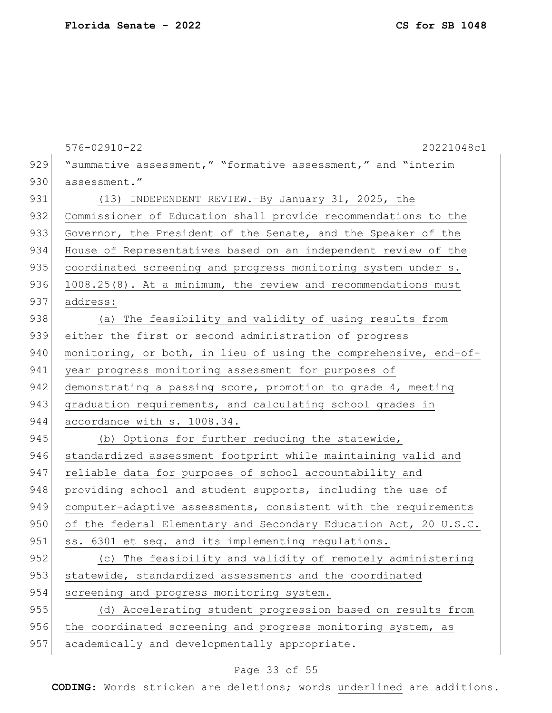|     | $576 - 02910 - 22$<br>20221048c1                                 |
|-----|------------------------------------------------------------------|
| 929 | "summative assessment," "formative assessment," and "interim     |
| 930 | assessment."                                                     |
| 931 |                                                                  |
|     | (13) INDEPENDENT REVIEW. - By January 31, 2025, the              |
| 932 | Commissioner of Education shall provide recommendations to the   |
| 933 | Governor, the President of the Senate, and the Speaker of the    |
| 934 | House of Representatives based on an independent review of the   |
| 935 | coordinated screening and progress monitoring system under s.    |
| 936 | 1008.25(8). At a minimum, the review and recommendations must    |
| 937 | address:                                                         |
| 938 | (a) The feasibility and validity of using results from           |
| 939 | either the first or second administration of progress            |
| 940 | monitoring, or both, in lieu of using the comprehensive, end-of- |
| 941 | year progress monitoring assessment for purposes of              |
| 942 | demonstrating a passing score, promotion to grade 4, meeting     |
| 943 | graduation requirements, and calculating school grades in        |
| 944 | accordance with s. 1008.34.                                      |
| 945 | (b) Options for further reducing the statewide,                  |
| 946 | standardized assessment footprint while maintaining valid and    |
| 947 | reliable data for purposes of school accountability and          |
| 948 | providing school and student supports, including the use of      |
| 949 | computer-adaptive assessments, consistent with the requirements  |
| 950 | of the federal Elementary and Secondary Education Act, 20 U.S.C. |
| 951 | ss. 6301 et seq. and its implementing regulations.               |
| 952 | (c) The feasibility and validity of remotely administering       |
| 953 | statewide, standardized assessments and the coordinated          |
| 954 | screening and progress monitoring system.                        |
| 955 | (d) Accelerating student progression based on results from       |
| 956 | the coordinated screening and progress monitoring system, as     |
| 957 | academically and developmentally appropriate.                    |
|     |                                                                  |

## Page 33 of 55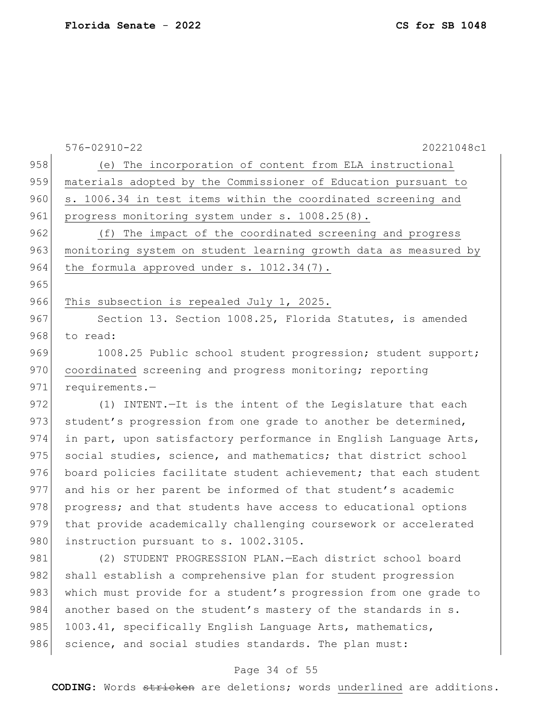965

576-02910-22 20221048c1 958 (e) The incorporation of content from ELA instructional 959 materials adopted by the Commissioner of Education pursuant to 960 s. 1006.34 in test items within the coordinated screening and 961 progress monitoring system under s. 1008.25(8). 962 (f) The impact of the coordinated screening and progress 963 monitoring system on student learning growth data as measured by 964 the formula approved under s. 1012.34(7). 966 This subsection is repealed July 1, 2025. 967 Section 13. Section 1008.25, Florida Statutes, is amended 968 to read: 969 1008.25 Public school student progression; student support; 970 coordinated screening and progress monitoring; reporting 971 requirements.-972 (1) INTENT.—It is the intent of the Legislature that each 973 student's progression from one grade to another be determined, 974 in part, upon satisfactory performance in English Language Arts, 975 social studies, science, and mathematics; that district school 976 board policies facilitate student achievement; that each student 977 and his or her parent be informed of that student's academic 978 progress; and that students have access to educational options 979 that provide academically challenging coursework or accelerated 980 instruction pursuant to s. 1002.3105. 981 (2) STUDENT PROGRESSION PLAN.—Each district school board

982 shall establish a comprehensive plan for student progression 983 which must provide for a student's progression from one grade to 984 another based on the student's mastery of the standards in s. 985 1003.41, specifically English Language Arts, mathematics, 986 science, and social studies standards. The plan must:

### Page 34 of 55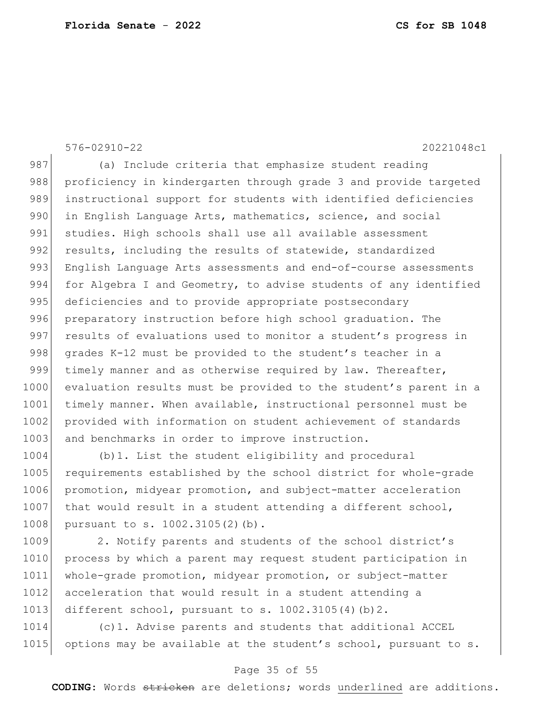576-02910-22 20221048c1 987 (a) Include criteria that emphasize student reading 988 proficiency in kindergarten through grade 3 and provide targeted 989 instructional support for students with identified deficiencies 990 in English Language Arts, mathematics, science, and social 991 studies. High schools shall use all available assessment 992 results, including the results of statewide, standardized 993 English Language Arts assessments and end-of-course assessments 994 for Algebra I and Geometry, to advise students of any identified 995 deficiencies and to provide appropriate postsecondary 996 preparatory instruction before high school graduation. The 997 results of evaluations used to monitor a student's progress in 998 grades K-12 must be provided to the student's teacher in a 999 timely manner and as otherwise required by law. Thereafter, 1000 evaluation results must be provided to the student's parent in a 1001 timely manner. When available, instructional personnel must be 1002 provided with information on student achievement of standards 1003 and benchmarks in order to improve instruction.

1004 (b)1. List the student eligibility and procedural 1005 requirements established by the school district for whole-grade 1006 promotion, midyear promotion, and subject-matter acceleration  $1007$  that would result in a student attending a different school, 1008 pursuant to s. 1002.3105(2)(b).

1009 2. Notify parents and students of the school district's 1010 process by which a parent may request student participation in 1011 whole-grade promotion, midyear promotion, or subject-matter 1012 acceleration that would result in a student attending a 1013 different school, pursuant to s.  $1002.3105(4)(b)2$ .

1014 (c)1. Advise parents and students that additional ACCEL 1015 options may be available at the student's school, pursuant to s.

### Page 35 of 55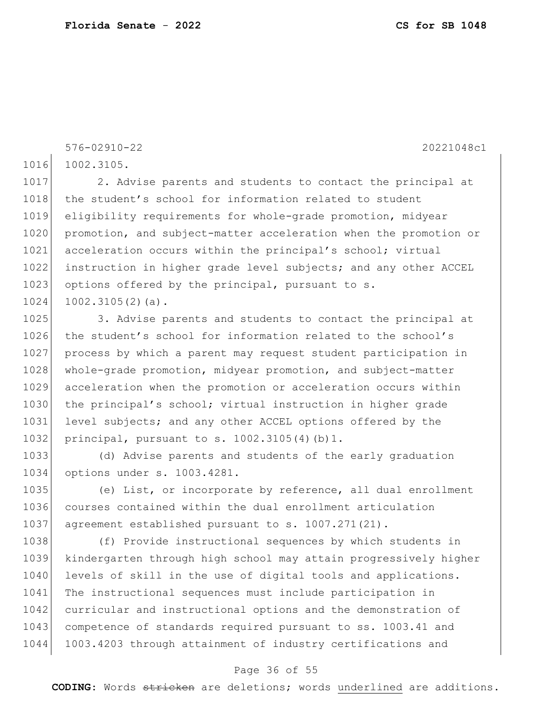576-02910-22 20221048c1

1016 1002.3105.

1017 2. Advise parents and students to contact the principal at 1018 the student's school for information related to student 1019 eligibility requirements for whole-grade promotion, midyear 1020 promotion, and subject-matter acceleration when the promotion or 1021 acceleration occurs within the principal's school; virtual 1022 instruction in higher grade level subjects; and any other ACCEL 1023 options offered by the principal, pursuant to s.  $1024$  1002.3105(2)(a).

1025 3. Advise parents and students to contact the principal at 1026 the student's school for information related to the school's 1027 process by which a parent may request student participation in 1028 whole-grade promotion, midyear promotion, and subject-matter 1029 acceleration when the promotion or acceleration occurs within 1030 the principal's school; virtual instruction in higher grade 1031 level subjects; and any other ACCEL options offered by the 1032 principal, pursuant to s. 1002.3105(4)(b)1.

1033 (d) Advise parents and students of the early graduation 1034 options under s. 1003.4281.

1035 (e) List, or incorporate by reference, all dual enrollment 1036 courses contained within the dual enrollment articulation 1037 | agreement established pursuant to s. 1007.271(21).

1038 (f) Provide instructional sequences by which students in 1039 kindergarten through high school may attain progressively higher 1040 levels of skill in the use of digital tools and applications. 1041 The instructional sequences must include participation in 1042 curricular and instructional options and the demonstration of 1043 competence of standards required pursuant to ss. 1003.41 and 1044 1003.4203 through attainment of industry certifications and

#### Page 36 of 55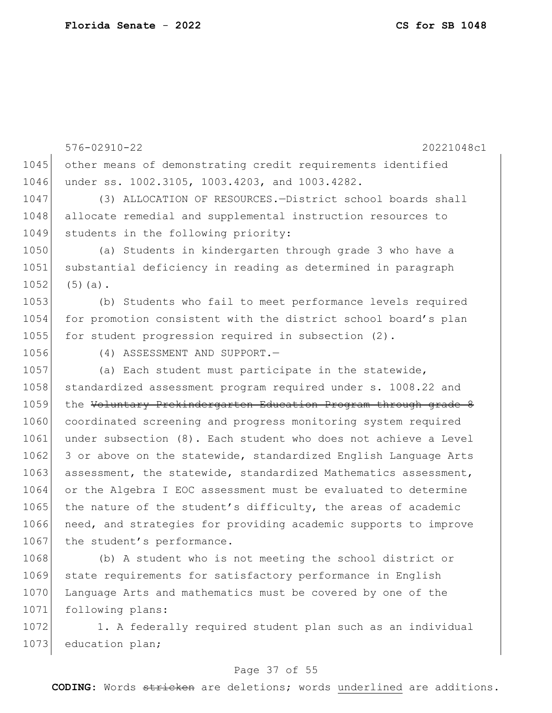576-02910-22 20221048c1 1045 other means of demonstrating credit requirements identified 1046 under ss. 1002.3105, 1003.4203, and 1003.4282. 1047 (3) ALLOCATION OF RESOURCES.—District school boards shall 1048 allocate remedial and supplemental instruction resources to 1049 students in the following priority: 1050 (a) Students in kindergarten through grade 3 who have a 1051 substantial deficiency in reading as determined in paragraph  $1052$  (5)(a). 1053 (b) Students who fail to meet performance levels required 1054 for promotion consistent with the district school board's plan 1055 for student progression required in subsection (2). 1056 (4) ASSESSMENT AND SUPPORT. 1057 (a) Each student must participate in the statewide, 1058 standardized assessment program required under s. 1008.22 and 1059 the Voluntary Prekindergarten Education Program through grade 8 1060 coordinated screening and progress monitoring system required 1061 under subsection (8). Each student who does not achieve a Level  $1062$  3 or above on the statewide, standardized English Language Arts 1063 assessment, the statewide, standardized Mathematics assessment, 1064 or the Algebra I EOC assessment must be evaluated to determine 1065 the nature of the student's difficulty, the areas of academic 1066 need, and strategies for providing academic supports to improve 1067 the student's performance. 1068 (b) A student who is not meeting the school district or

1069 state requirements for satisfactory performance in English 1070 Language Arts and mathematics must be covered by one of the 1071 following plans:

1072 1. A federally required student plan such as an individual 1073 education plan;

### Page 37 of 55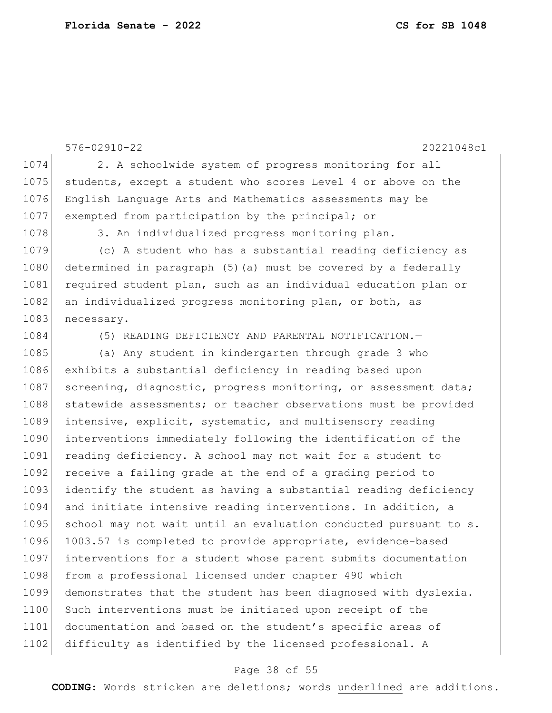576-02910-22 20221048c1 1074 2. A schoolwide system of progress monitoring for all 1075 students, except a student who scores Level 4 or above on the 1076 English Language Arts and Mathematics assessments may be 1077 exempted from participation by the principal; or 1078 3. An individualized progress monitoring plan. 1079 (c) A student who has a substantial reading deficiency as 1080 determined in paragraph (5)(a) must be covered by a federally 1081 required student plan, such as an individual education plan or 1082 an individualized progress monitoring plan, or both, as 1083 necessary. 1084 (5) READING DEFICIENCY AND PARENTAL NOTIFICATION. 1085 (a) Any student in kindergarten through grade 3 who 1086 exhibits a substantial deficiency in reading based upon 1087 screening, diagnostic, progress monitoring, or assessment data; 1088 statewide assessments; or teacher observations must be provided 1089 intensive, explicit, systematic, and multisensory reading 1090 interventions immediately following the identification of the 1091 reading deficiency. A school may not wait for a student to 1092 receive a failing grade at the end of a grading period to 1093 identify the student as having a substantial reading deficiency 1094 and initiate intensive reading interventions. In addition, a 1095 school may not wait until an evaluation conducted pursuant to s. 1096 1003.57 is completed to provide appropriate, evidence-based 1097 interventions for a student whose parent submits documentation 1098 from a professional licensed under chapter 490 which 1099 demonstrates that the student has been diagnosed with dyslexia. 1100 Such interventions must be initiated upon receipt of the 1101 documentation and based on the student's specific areas of 1102 difficulty as identified by the licensed professional. A

### Page 38 of 55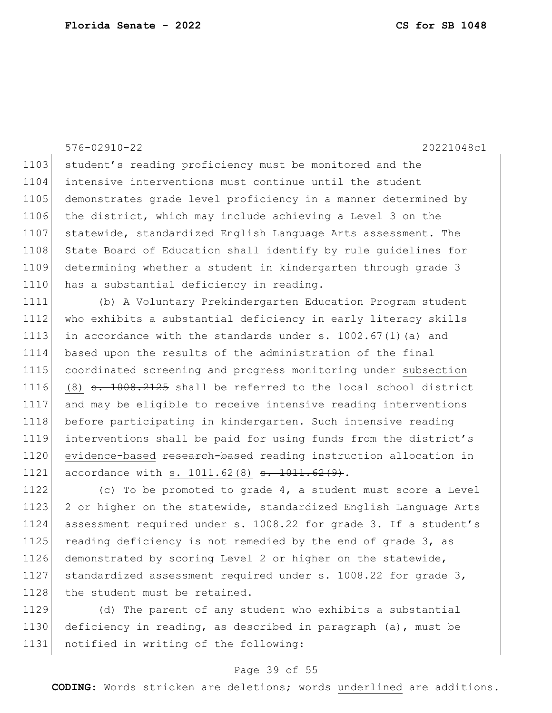576-02910-22 20221048c1

1103 student's reading proficiency must be monitored and the 1104 intensive interventions must continue until the student 1105 demonstrates grade level proficiency in a manner determined by 1106 the district, which may include achieving a Level 3 on the 1107 statewide, standardized English Language Arts assessment. The 1108 State Board of Education shall identify by rule guidelines for 1109 determining whether a student in kindergarten through grade 3 1110 has a substantial deficiency in reading.

1111 (b) A Voluntary Prekindergarten Education Program student 1112 who exhibits a substantial deficiency in early literacy skills 1113 in accordance with the standards under s.  $1002.67(1)$  (a) and 1114 based upon the results of the administration of the final 1115 coordinated screening and progress monitoring under subsection 1116 (8) <del>s. 1008.2125</del> shall be referred to the local school district 1117 and may be eligible to receive intensive reading interventions 1118 before participating in kindergarten. Such intensive reading 1119 interventions shall be paid for using funds from the district's 1120 evidence-based research-based reading instruction allocation in 1121 accordance with s. 1011.62(8) <del>s. 1011.62(9)</del>.

1122 (c) To be promoted to grade 4, a student must score a Level 1123 2 or higher on the statewide, standardized English Language Arts 1124 assessment required under s. 1008.22 for grade 3. If a student's 1125 reading deficiency is not remedied by the end of grade 3, as 1126 demonstrated by scoring Level 2 or higher on the statewide, 1127 standardized assessment required under s. 1008.22 for grade 3, 1128 the student must be retained.

1129 (d) The parent of any student who exhibits a substantial 1130 deficiency in reading, as described in paragraph (a), must be 1131 notified in writing of the following:

### Page 39 of 55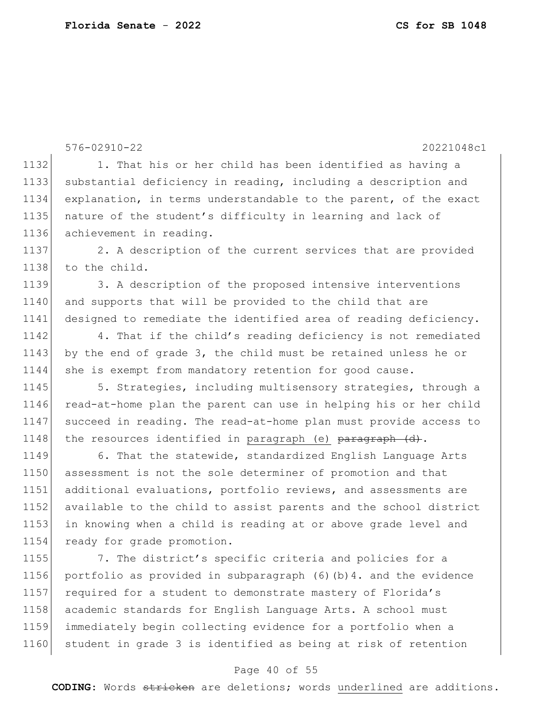576-02910-22 20221048c1 1132 1. That his or her child has been identified as having a 1133 substantial deficiency in reading, including a description and 1134 explanation, in terms understandable to the parent, of the exact 1135 | nature of the student's difficulty in learning and lack of 1136 achievement in reading. 1137 2. A description of the current services that are provided 1138 to the child. 1139 3. A description of the proposed intensive interventions 1140 and supports that will be provided to the child that are 1141 designed to remediate the identified area of reading deficiency. 1142 4. That if the child's reading deficiency is not remediated 1143 by the end of grade 3, the child must be retained unless he or 1144 she is exempt from mandatory retention for good cause. 1145 5. Strategies, including multisensory strategies, through a 1146 read-at-home plan the parent can use in helping his or her child 1147 succeed in reading. The read-at-home plan must provide access to 1148 the resources identified in paragraph (e)  $\frac{1148}{1000}$  (d). 1149 6. That the statewide, standardized English Language Arts 1150 assessment is not the sole determiner of promotion and that 1151 additional evaluations, portfolio reviews, and assessments are 1152 available to the child to assist parents and the school district 1153 in knowing when a child is reading at or above grade level and 1154 ready for grade promotion. 1155 7. The district's specific criteria and policies for a 1156 portfolio as provided in subparagraph (6)(b)4. and the evidence 1157 required for a student to demonstrate mastery of Florida's 1158 academic standards for English Language Arts. A school must 1159 immediately begin collecting evidence for a portfolio when a 1160 student in grade 3 is identified as being at risk of retention

### Page 40 of 55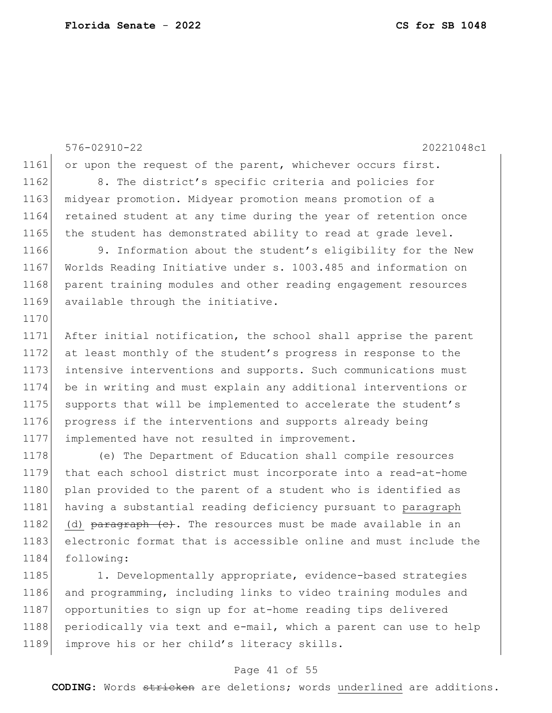1184 following:

576-02910-22 20221048c1 1161 or upon the request of the parent, whichever occurs first. 1162 8. The district's specific criteria and policies for 1163 midyear promotion. Midyear promotion means promotion of a 1164 retained student at any time during the year of retention once 1165 the student has demonstrated ability to read at grade level. 1166 9. Information about the student's eligibility for the New 1167 Worlds Reading Initiative under s. 1003.485 and information on 1168 parent training modules and other reading engagement resources 1169 available through the initiative. 1170 1171 After initial notification, the school shall apprise the parent 1172 at least monthly of the student's progress in response to the 1173 intensive interventions and supports. Such communications must 1174 be in writing and must explain any additional interventions or 1175 supports that will be implemented to accelerate the student's 1176 progress if the interventions and supports already being 1177 implemented have not resulted in improvement. 1178 (e) The Department of Education shall compile resources 1179 that each school district must incorporate into a read-at-home 1180 plan provided to the parent of a student who is identified as 1181 having a substantial reading deficiency pursuant to paragraph 1182 (d)  $\frac{182}{182}$  (d)  $\frac{182}{182}$  (d)  $\frac{182}{182}$  (d)  $\frac{182}{182}$  (d)  $\frac{182}{182}$  (d) 1183 electronic format that is accessible online and must include the

1185 1. Developmentally appropriate, evidence-based strategies 1186 and programming, including links to video training modules and 1187 opportunities to sign up for at-home reading tips delivered 1188 periodically via text and e-mail, which a parent can use to help 1189 improve his or her child's literacy skills.

#### Page 41 of 55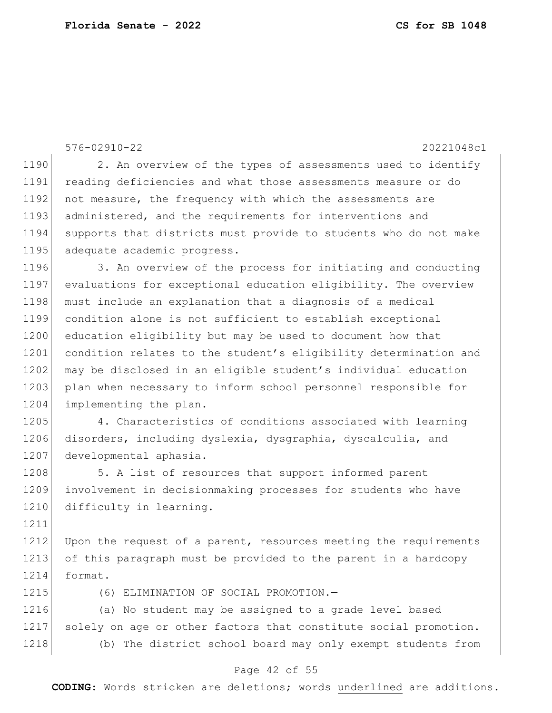576-02910-22 20221048c1 1190 2. An overview of the types of assessments used to identify 1191 reading deficiencies and what those assessments measure or do 1192 not measure, the frequency with which the assessments are 1193 administered, and the requirements for interventions and 1194 supports that districts must provide to students who do not make 1195 adequate academic progress. 1196 3. An overview of the process for initiating and conducting 1197 evaluations for exceptional education eligibility. The overview 1198 must include an explanation that a diagnosis of a medical 1199 condition alone is not sufficient to establish exceptional 1200 education eligibility but may be used to document how that 1201 condition relates to the student's eligibility determination and 1202 may be disclosed in an eligible student's individual education 1203 plan when necessary to inform school personnel responsible for 1204 implementing the plan. 1205 4. Characteristics of conditions associated with learning 1206 disorders, including dyslexia, dysgraphia, dyscalculia, and 1207 developmental aphasia. 1208 5. A list of resources that support informed parent 1209 involvement in decisionmaking processes for students who have 1210 difficulty in learning. 1211 1212 Upon the request of a parent, resources meeting the requirements 1213 of this paragraph must be provided to the parent in a hardcopy 1214 format. 1215 (6) ELIMINATION OF SOCIAL PROMOTION. 1216 (a) No student may be assigned to a grade level based 1217 solely on age or other factors that constitute social promotion. 1218 (b) The district school board may only exempt students from

#### Page 42 of 55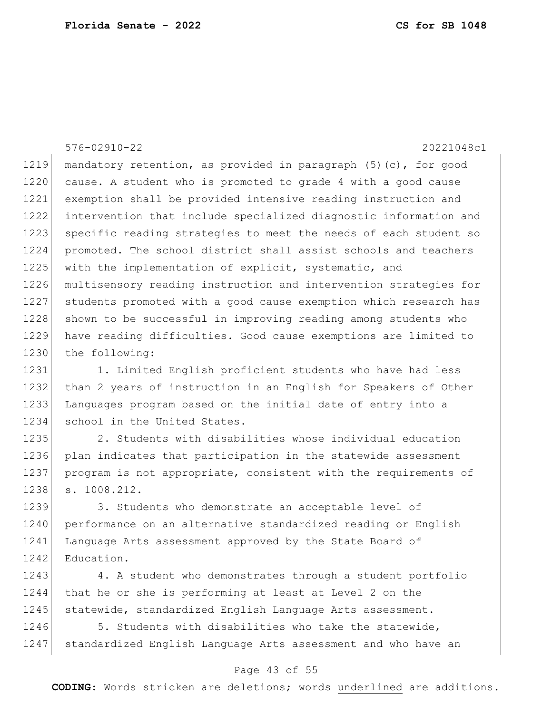576-02910-22 20221048c1 1219 mandatory retention, as provided in paragraph  $(5)$  (c), for good 1220 cause. A student who is promoted to grade 4 with a good cause 1221 exemption shall be provided intensive reading instruction and 1222 intervention that include specialized diagnostic information and 1223 specific reading strategies to meet the needs of each student so 1224 promoted. The school district shall assist schools and teachers 1225 with the implementation of explicit, systematic, and 1226 multisensory reading instruction and intervention strategies for 1227 students promoted with a good cause exemption which research has 1228 shown to be successful in improving reading among students who 1229 have reading difficulties. Good cause exemptions are limited to 1230 the following:

1231 1. Limited English proficient students who have had less 1232 than 2 years of instruction in an English for Speakers of Other 1233 Languages program based on the initial date of entry into a 1234 school in the United States.

1235 2. Students with disabilities whose individual education 1236 plan indicates that participation in the statewide assessment 1237 program is not appropriate, consistent with the requirements of 1238 s. 1008.212.

1239 3. Students who demonstrate an acceptable level of 1240 performance on an alternative standardized reading or English 1241 Language Arts assessment approved by the State Board of 1242 Education.

1243 4. A student who demonstrates through a student portfolio 1244 that he or she is performing at least at Level 2 on the 1245 | statewide, standardized English Language Arts assessment.

1246 5. Students with disabilities who take the statewide, 1247 standardized English Language Arts assessment and who have an

#### Page 43 of 55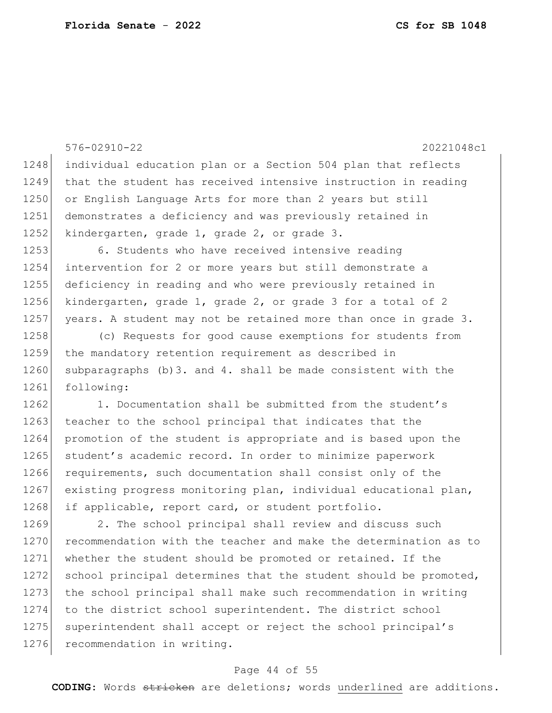576-02910-22 20221048c1 1248 individual education plan or a Section 504 plan that reflects 1249 that the student has received intensive instruction in reading 1250 or English Language Arts for more than 2 years but still 1251 demonstrates a deficiency and was previously retained in 1252 kindergarten, grade 1, grade 2, or grade 3. 1253 6. Students who have received intensive reading 1254 intervention for 2 or more years but still demonstrate a 1255 deficiency in reading and who were previously retained in 1256 kindergarten, grade 1, grade 2, or grade 3 for a total of 2 1257 years. A student may not be retained more than once in grade 3. 1258 (c) Requests for good cause exemptions for students from 1259 the mandatory retention requirement as described in 1260 subparagraphs (b)3. and 4. shall be made consistent with the 1261 following: 1262 1. Documentation shall be submitted from the student's 1263 teacher to the school principal that indicates that the 1264 promotion of the student is appropriate and is based upon the 1265 student's academic record. In order to minimize paperwork 1266 requirements, such documentation shall consist only of the 1267 existing progress monitoring plan, individual educational plan, 1268 if applicable, report card, or student portfolio. 1269 2. The school principal shall review and discuss such 1270 recommendation with the teacher and make the determination as to 1271 whether the student should be promoted or retained. If the 1272 school principal determines that the student should be promoted, 1273 the school principal shall make such recommendation in writing 1274 to the district school superintendent. The district school 1275 superintendent shall accept or reject the school principal's 1276 recommendation in writing.

### Page 44 of 55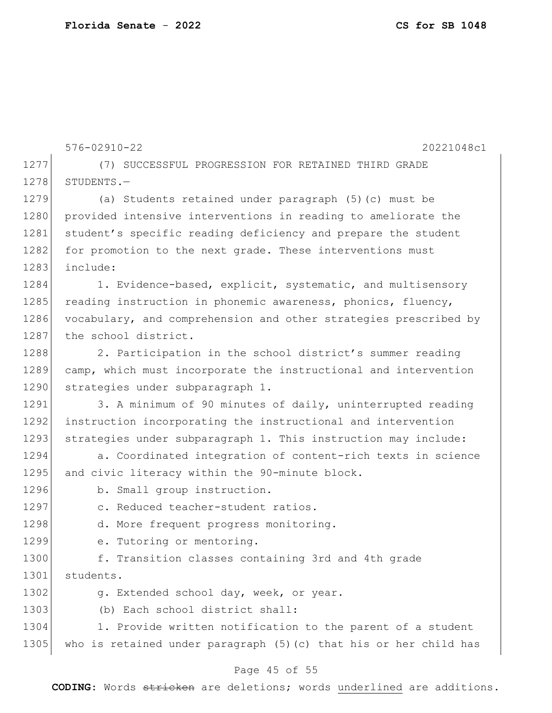576-02910-22 20221048c1 1277 (7) SUCCESSFUL PROGRESSION FOR RETAINED THIRD GRADE 1278 STUDENTS.-1279 (a) Students retained under paragraph (5)(c) must be 1280 provided intensive interventions in reading to ameliorate the 1281 student's specific reading deficiency and prepare the student 1282 for promotion to the next grade. These interventions must 1283 include: 1284 1. Evidence-based, explicit, systematic, and multisensory 1285 reading instruction in phonemic awareness, phonics, fluency, 1286 vocabulary, and comprehension and other strategies prescribed by 1287 the school district. 1288 2. Participation in the school district's summer reading 1289 camp, which must incorporate the instructional and intervention 1290 strategies under subparagraph 1. 1291 3. A minimum of 90 minutes of daily, uninterrupted reading 1292 instruction incorporating the instructional and intervention 1293 strategies under subparagraph 1. This instruction may include: 1294 a. Coordinated integration of content-rich texts in science 1295 and civic literacy within the 90-minute block. 1296 b. Small group instruction. 1297 c. Reduced teacher-student ratios. 1298 d. More frequent progress monitoring. 1299 e. Tutoring or mentoring. 1300 f. Transition classes containing 3rd and 4th grade 1301 students. 1302 g. Extended school day, week, or year. 1303 (b) Each school district shall: 1304 1. Provide written notification to the parent of a student 1305 who is retained under paragraph (5) (c) that his or her child has

### Page 45 of 55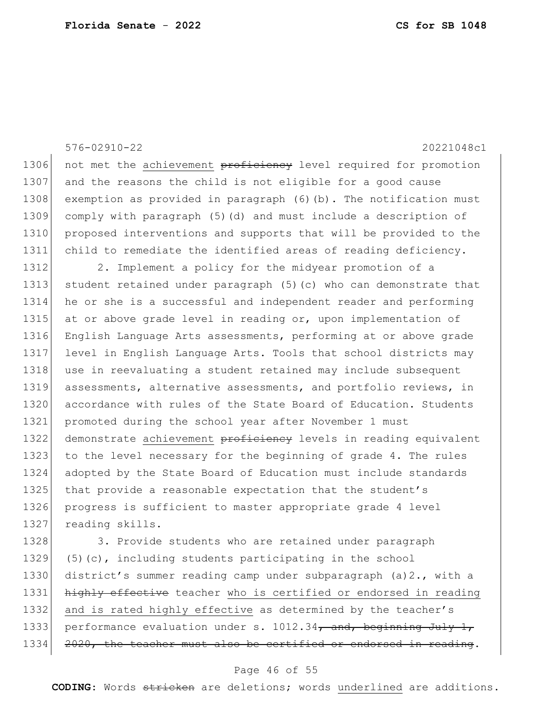|      | $576 - 02910 - 22$<br>20221048c1                                  |
|------|-------------------------------------------------------------------|
| 1306 | not met the achievement proficiency level required for promotion  |
| 1307 | and the reasons the child is not eligible for a good cause        |
| 1308 | exemption as provided in paragraph (6)(b). The notification must  |
| 1309 | comply with paragraph (5) (d) and must include a description of   |
| 1310 | proposed interventions and supports that will be provided to the  |
| 1311 | child to remediate the identified areas of reading deficiency.    |
| 1312 | 2. Implement a policy for the midyear promotion of a              |
| 1313 | student retained under paragraph (5) (c) who can demonstrate that |
| 1314 | he or she is a successful and independent reader and performing   |
| 1315 | at or above grade level in reading or, upon implementation of     |
| 1316 | English Language Arts assessments, performing at or above grade   |
| 1317 | level in English Language Arts. Tools that school districts may   |
| 1318 | use in reevaluating a student retained may include subsequent     |
| 1319 | assessments, alternative assessments, and portfolio reviews, in   |
| 1320 | accordance with rules of the State Board of Education. Students   |
| 1321 | promoted during the school year after November 1 must             |
| 1322 | demonstrate achievement proficiency levels in reading equivalent  |
| 1323 | to the level necessary for the beginning of grade 4. The rules    |
| 1324 | adopted by the State Board of Education must include standards    |
| 1325 | that provide a reasonable expectation that the student's          |
| 1326 | progress is sufficient to master appropriate grade 4 level        |
| 1327 | reading skills.                                                   |
| 1328 | 3. Provide students who are retained under paragraph              |
| 1329 | $(5)$ (c), including students participating in the school         |
| 1330 | district's summer reading camp under subparagraph (a) 2., with a  |
| 1331 | highly effective teacher who is certified or endorsed in reading  |
| 1332 | and is rated highly effective as determined by the teacher's      |
| 1333 | performance evaluation under s. 1012.34, and, beginning July 1,   |
| 1334 | 2020, the teacher must also be certified or endorsed in reading.  |

## Page 46 of 55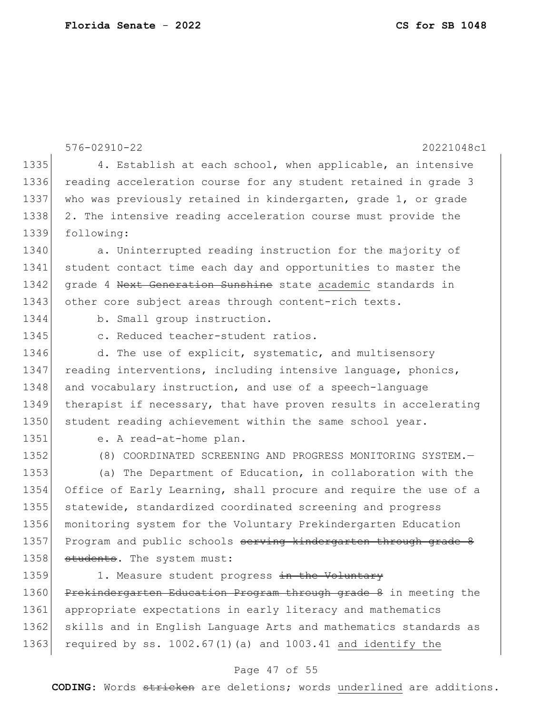576-02910-22 20221048c1 1335 4. Establish at each school, when applicable, an intensive 1336 reading acceleration course for any student retained in grade 3 1337 who was previously retained in kindergarten, grade 1, or grade 1338 2. The intensive reading acceleration course must provide the 1339 following: 1340 a. Uninterrupted reading instruction for the majority of 1341 student contact time each day and opportunities to master the 1342 grade 4 Next Generation Sunshine state academic standards in 1343 other core subject areas through content-rich texts. 1344 b. Small group instruction. 1345 c. Reduced teacher-student ratios. 1346 d. The use of explicit, systematic, and multisensory 1347 reading interventions, including intensive language, phonics, 1348 and vocabulary instruction, and use of a speech-language 1349 therapist if necessary, that have proven results in accelerating 1350 student reading achievement within the same school year. 1351 e. A read-at-home plan. 1352 (8) COORDINATED SCREENING AND PROGRESS MONITORING SYSTEM. 1353 (a) The Department of Education, in collaboration with the 1354 Office of Early Learning, shall procure and require the use of a 1355 statewide, standardized coordinated screening and progress 1356 monitoring system for the Voluntary Prekindergarten Education 1357 Program and public schools serving kindergarten through grade 8 1358 students. The system must: 1359 1. Measure student progress in the Voluntary 1360 Prekindergarten Education Program through grade 8 in meeting the 1361 appropriate expectations in early literacy and mathematics 1362 skills and in English Language Arts and mathematics standards as

#### Page 47 of 55

1363 required by ss.  $1002.67(1)$  (a) and  $1003.41$  and identify the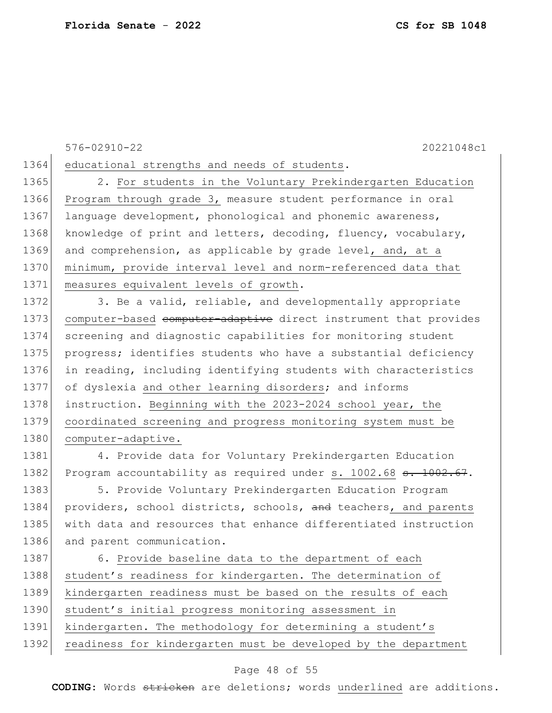576-02910-22 20221048c1

1364 educational strengths and needs of students.

1365 2. For students in the Voluntary Prekindergarten Education 1366 Program through grade 3, measure student performance in oral 1367 language development, phonological and phonemic awareness, 1368 knowledge of print and letters, decoding, fluency, vocabulary, 1369 and comprehension, as applicable by grade level, and, at a 1370 minimum, provide interval level and norm-referenced data that 1371 measures equivalent levels of growth.

1372 3. Be a valid, reliable, and developmentally appropriate 1373 computer-based computer-adaptive direct instrument that provides 1374 screening and diagnostic capabilities for monitoring student 1375 progress; identifies students who have a substantial deficiency 1376 in reading, including identifying students with characteristics 1377 of dyslexia and other learning disorders; and informs 1378 instruction. Beginning with the 2023-2024 school year, the 1379 coordinated screening and progress monitoring system must be 1380 computer-adaptive.

1381 4. Provide data for Voluntary Prekindergarten Education 1382 Program accountability as required under s. 1002.68 s. 1002.67.

1383 5. Provide Voluntary Prekindergarten Education Program 1384 providers, school districts, schools, and teachers, and parents 1385 with data and resources that enhance differentiated instruction 1386 and parent communication.

1387 6. Provide baseline data to the department of each 1388 student's readiness for kindergarten. The determination of 1389 kindergarten readiness must be based on the results of each 1390 student's initial progress monitoring assessment in 1391 kindergarten. The methodology for determining a student's 1392 readiness for kindergarten must be developed by the department

#### Page 48 of 55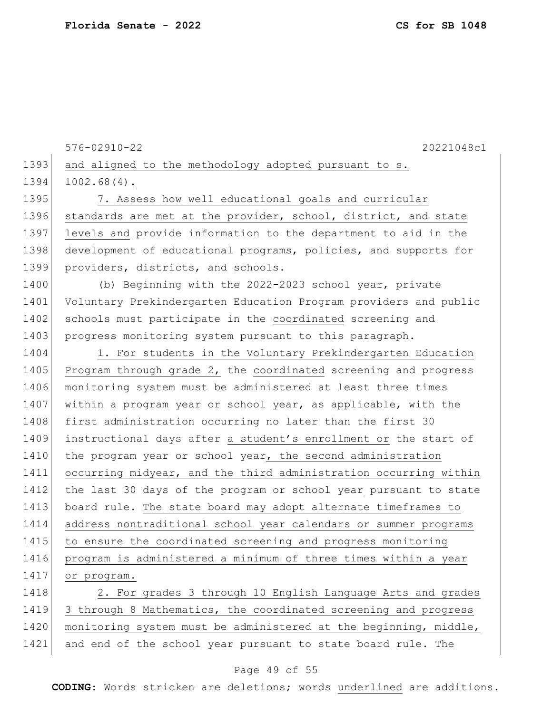1393 and aligned to the methodology adopted pursuant to s. 1394 1002.68(4). 1395 7. Assess how well educational goals and curricular 1396 standards are met at the provider, school, district, and state 1397 levels and provide information to the department to aid in the 1398 development of educational programs, policies, and supports for 1399 providers, districts, and schools. 1400 (b) Beginning with the 2022-2023 school year, private 1401 Voluntary Prekindergarten Education Program providers and public 1402 schools must participate in the coordinated screening and 1403 progress monitoring system pursuant to this paragraph. 1404 1. For students in the Voluntary Prekindergarten Education 1405 Program through grade 2, the coordinated screening and progress 1406 monitoring system must be administered at least three times 1407 within a program year or school year, as applicable, with the 1408 first administration occurring no later than the first 30 1409 instructional days after a student's enrollment or the start of 1410 the program year or school year, the second administration 1411 occurring midyear, and the third administration occurring within 1412 the last 30 days of the program or school year pursuant to state 1413 board rule. The state board may adopt alternate timeframes to 1414 address nontraditional school year calendars or summer programs 1415 to ensure the coordinated screening and progress monitoring 1416 program is administered a minimum of three times within a year 1417 or program. 1418 2. For grades 3 through 10 English Language Arts and grades 1419 3 through 8 Mathematics, the coordinated screening and progress 1420 | monitoring system must be administered at the beginning, middle,

576-02910-22 20221048c1

1421 and end of the school year pursuant to state board rule. The

#### Page 49 of 55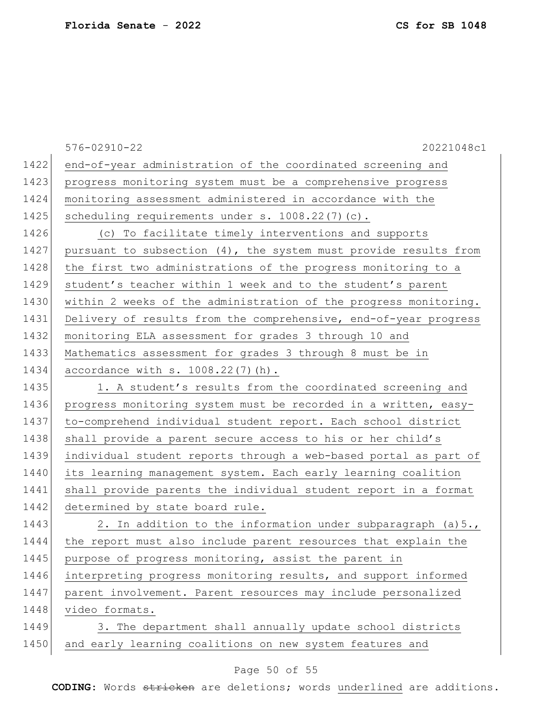|      | $576 - 02910 - 22$<br>20221048c1                                 |
|------|------------------------------------------------------------------|
| 1422 | end-of-year administration of the coordinated screening and      |
| 1423 | progress monitoring system must be a comprehensive progress      |
| 1424 | monitoring assessment administered in accordance with the        |
| 1425 | scheduling requirements under s. 1008.22(7)(c).                  |
| 1426 | (c) To facilitate timely interventions and supports              |
| 1427 | pursuant to subsection (4), the system must provide results from |
| 1428 | the first two administrations of the progress monitoring to a    |
| 1429 | student's teacher within 1 week and to the student's parent      |
| 1430 | within 2 weeks of the administration of the progress monitoring. |
| 1431 | Delivery of results from the comprehensive, end-of-year progress |
| 1432 | monitoring ELA assessment for grades 3 through 10 and            |
| 1433 | Mathematics assessment for grades 3 through 8 must be in         |
| 1434 | accordance with $s. 1008.22(7)$ (h).                             |
| 1435 | 1. A student's results from the coordinated screening and        |
| 1436 | progress monitoring system must be recorded in a written, easy-  |
| 1437 | to-comprehend individual student report. Each school district    |
| 1438 | shall provide a parent secure access to his or her child's       |
| 1439 | individual student reports through a web-based portal as part of |
| 1440 | its learning management system. Each early learning coalition    |
| 1441 | shall provide parents the individual student report in a format  |
| 1442 | determined by state board rule.                                  |
| 1443 | 2. In addition to the information under subparagraph (a) 5.,     |
| 1444 | the report must also include parent resources that explain the   |
| 1445 | purpose of progress monitoring, assist the parent in             |
| 1446 | interpreting progress monitoring results, and support informed   |
| 1447 | parent involvement. Parent resources may include personalized    |
| 1448 | video formats.                                                   |
| 1449 | 3. The department shall annually update school districts         |
| 1450 | and early learning coalitions on new system features and         |

## Page 50 of 55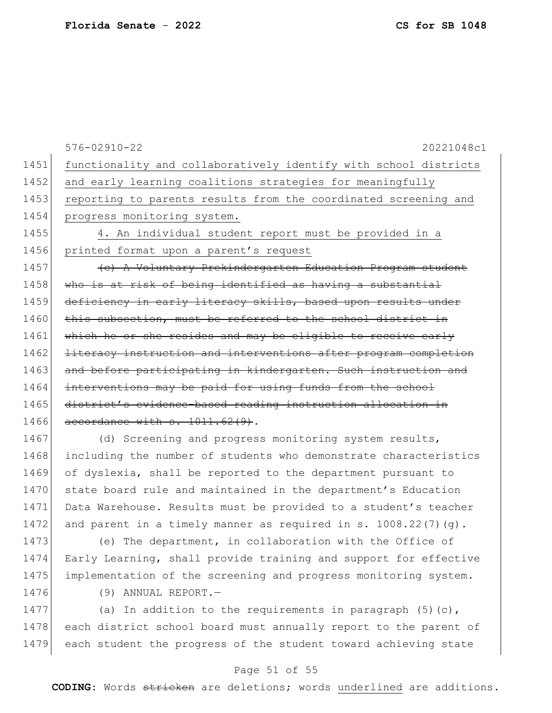|      | $576 - 02910 - 22$<br>20221048c1                                 |
|------|------------------------------------------------------------------|
| 1451 | functionality and collaboratively identify with school districts |
| 1452 | and early learning coalitions strategies for meaningfully        |
| 1453 | reporting to parents results from the coordinated screening and  |
| 1454 | progress monitoring system.                                      |
| 1455 | 4. An individual student report must be provided in a            |
| 1456 | printed format upon a parent's request                           |
| 1457 | (c) A Voluntary Prekindergarten Education Program student        |
| 1458 | who is at risk of being identified as having a substantial       |
| 1459 | deficiency in early literacy skills, based upon results under    |
| 1460 | this subsection, must be referred to the school district in      |
| 1461 | which he or she resides and may be eligible to receive early     |
| 1462 | literacy instruction and interventions after program completion  |
| 1463 | and before participating in kindergarten. Such instruction and   |
| 1464 | interventions may be paid for using funds from the school        |
| 1465 | district's evidence-based reading instruction allocation in      |
| 1466 | accordance with s. 1011.62(9).                                   |
| 1467 | (d) Screening and progress monitoring system results,            |

1468 including the number of students who demonstrate characteristics 1469 of dyslexia, shall be reported to the department pursuant to 1470 state board rule and maintained in the department's Education 1471 Data Warehouse. Results must be provided to a student's teacher 1472 and parent in a timely manner as required in s. 1008.22(7)(g).

1473 (e) The department, in collaboration with the Office of 1474 Early Learning, shall provide training and support for effective 1475 implementation of the screening and progress monitoring system.

1476 (9) ANNUAL REPORT.

1477 (a) In addition to the requirements in paragraph  $(5)(c)$ , 1478 each district school board must annually report to the parent of 1479 each student the progress of the student toward achieving state

#### Page 51 of 55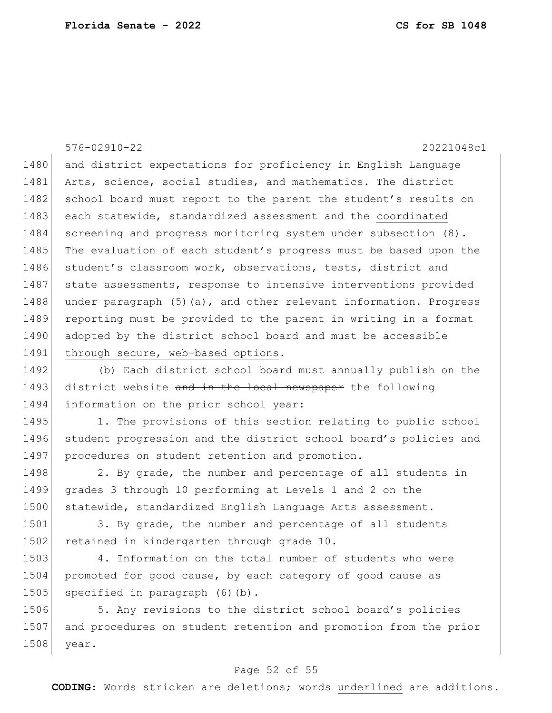576-02910-22 20221048c1 1480 and district expectations for proficiency in English Language 1481 Arts, science, social studies, and mathematics. The district 1482 school board must report to the parent the student's results on 1483 each statewide, standardized assessment and the coordinated 1484 screening and progress monitoring system under subsection (8). 1485 The evaluation of each student's progress must be based upon the 1486 student's classroom work, observations, tests, district and 1487 state assessments, response to intensive interventions provided 1488 under paragraph (5)(a), and other relevant information. Progress 1489 reporting must be provided to the parent in writing in a format 1490 adopted by the district school board and must be accessible 1491 through secure, web-based options.

1492 (b) Each district school board must annually publish on the 1493 district website and in the local newspaper the following 1494 information on the prior school year:

1495 1. The provisions of this section relating to public school 1496 student progression and the district school board's policies and 1497 procedures on student retention and promotion.

1498 2. By grade, the number and percentage of all students in 1499 grades 3 through 10 performing at Levels 1 and 2 on the 1500 statewide, standardized English Language Arts assessment.

1501 3. By grade, the number and percentage of all students 1502 retained in kindergarten through grade 10.

1503 4. Information on the total number of students who were 1504 promoted for good cause, by each category of good cause as 1505 specified in paragraph (6)(b).

1506 5. Any revisions to the district school board's policies 1507 and procedures on student retention and promotion from the prior 1508 year.

### Page 52 of 55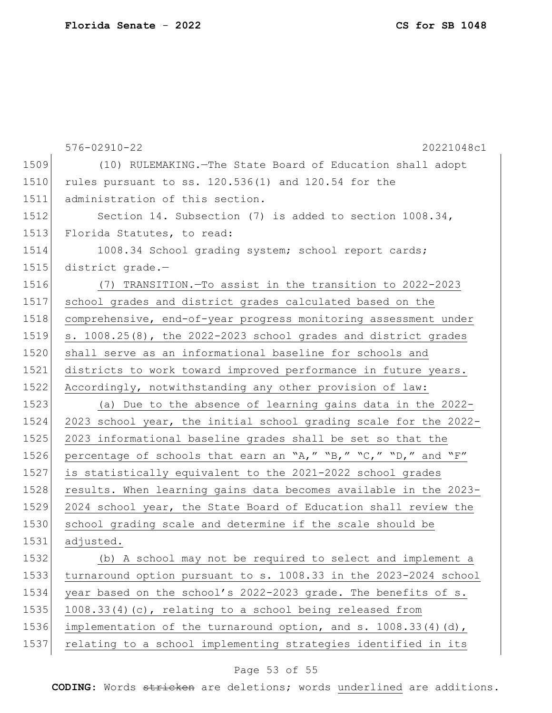|      | $576 - 02910 - 22$<br>20221048c1                                  |
|------|-------------------------------------------------------------------|
| 1509 | (10) RULEMAKING. - The State Board of Education shall adopt       |
| 1510 | rules pursuant to ss. 120.536(1) and 120.54 for the               |
| 1511 | administration of this section.                                   |
| 1512 | Section 14. Subsection (7) is added to section $1008.34$ ,        |
| 1513 | Florida Statutes, to read:                                        |
| 1514 | 1008.34 School grading system; school report cards;               |
| 1515 | district grade.-                                                  |
| 1516 | (7) TRANSITION. To assist in the transition to 2022-2023          |
| 1517 | school grades and district grades calculated based on the         |
| 1518 | comprehensive, end-of-year progress monitoring assessment under   |
| 1519 | s. $1008.25(8)$ , the 2022-2023 school grades and district grades |
| 1520 | shall serve as an informational baseline for schools and          |
| 1521 | districts to work toward improved performance in future years.    |
| 1522 | Accordingly, notwithstanding any other provision of law:          |
| 1523 | (a) Due to the absence of learning gains data in the 2022-        |
| 1524 | 2023 school year, the initial school grading scale for the 2022-  |
| 1525 | 2023 informational baseline grades shall be set so that the       |
| 1526 | percentage of schools that earn an "A," "B," "C," "D," and "F"    |
| 1527 | is statistically equivalent to the 2021-2022 school grades        |
| 1528 | results. When learning gains data becomes available in the 2023-  |
| 1529 | 2024 school year, the State Board of Education shall review the   |
| 1530 | school grading scale and determine if the scale should be         |
| 1531 | adjusted.                                                         |
| 1532 | (b) A school may not be required to select and implement a        |
| 1533 | turnaround option pursuant to s. 1008.33 in the 2023-2024 school  |
| 1534 | year based on the school's 2022-2023 grade. The benefits of s.    |
| 1535 | 1008.33(4)(c), relating to a school being released from           |
| 1536 | implementation of the turnaround option, and s. $1008.33(4)(d)$ , |
| 1537 | relating to a school implementing strategies identified in its    |

## Page 53 of 55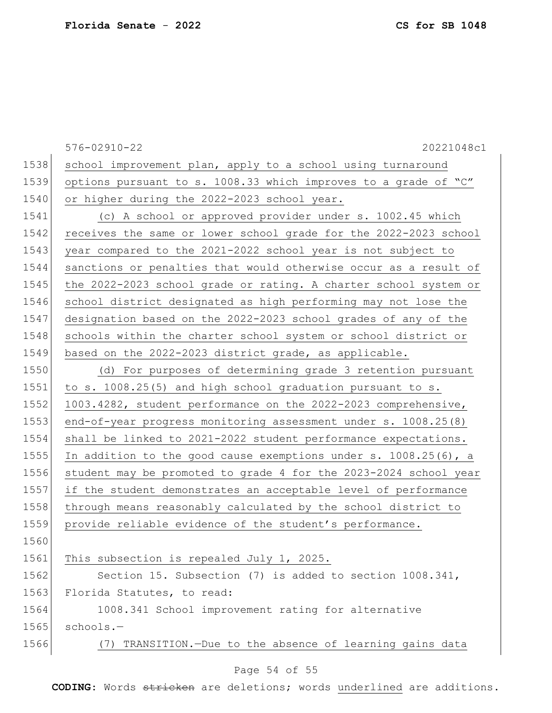|      | $576 - 02910 - 22$<br>20221048c1                                   |
|------|--------------------------------------------------------------------|
| 1538 | school improvement plan, apply to a school using turnaround        |
| 1539 | options pursuant to s. 1008.33 which improves to a grade of "C"    |
| 1540 | or higher during the 2022-2023 school year.                        |
| 1541 | (c) A school or approved provider under s. 1002.45 which           |
| 1542 | receives the same or lower school grade for the 2022-2023 school   |
| 1543 | year compared to the 2021-2022 school year is not subject to       |
| 1544 | sanctions or penalties that would otherwise occur as a result of   |
| 1545 | the 2022-2023 school grade or rating. A charter school system or   |
| 1546 | school district designated as high performing may not lose the     |
| 1547 | designation based on the 2022-2023 school grades of any of the     |
| 1548 | schools within the charter school system or school district or     |
| 1549 | based on the 2022-2023 district grade, as applicable.              |
| 1550 | (d) For purposes of determining grade 3 retention pursuant         |
| 1551 | to s. 1008.25(5) and high school graduation pursuant to s.         |
| 1552 | 1003.4282, student performance on the 2022-2023 comprehensive,     |
| 1553 | end-of-year progress monitoring assessment under s. 1008.25(8)     |
| 1554 | shall be linked to 2021-2022 student performance expectations.     |
| 1555 | In addition to the good cause exemptions under s. $1008.25(6)$ , a |
| 1556 | student may be promoted to grade 4 for the 2023-2024 school year   |
| 1557 | if the student demonstrates an acceptable level of performance     |
| 1558 | through means reasonably calculated by the school district to      |
| 1559 | provide reliable evidence of the student's performance.            |
| 1560 |                                                                    |
| 1561 | This subsection is repealed July 1, 2025.                          |
| 1562 | Section 15. Subsection (7) is added to section 1008.341,           |
| 1563 | Florida Statutes, to read:                                         |
| 1564 | 1008.341 School improvement rating for alternative                 |
| 1565 | schools.-                                                          |
| 1566 | (7) TRANSITION.-Due to the absence of learning gains data          |
|      |                                                                    |

### Page 54 of 55